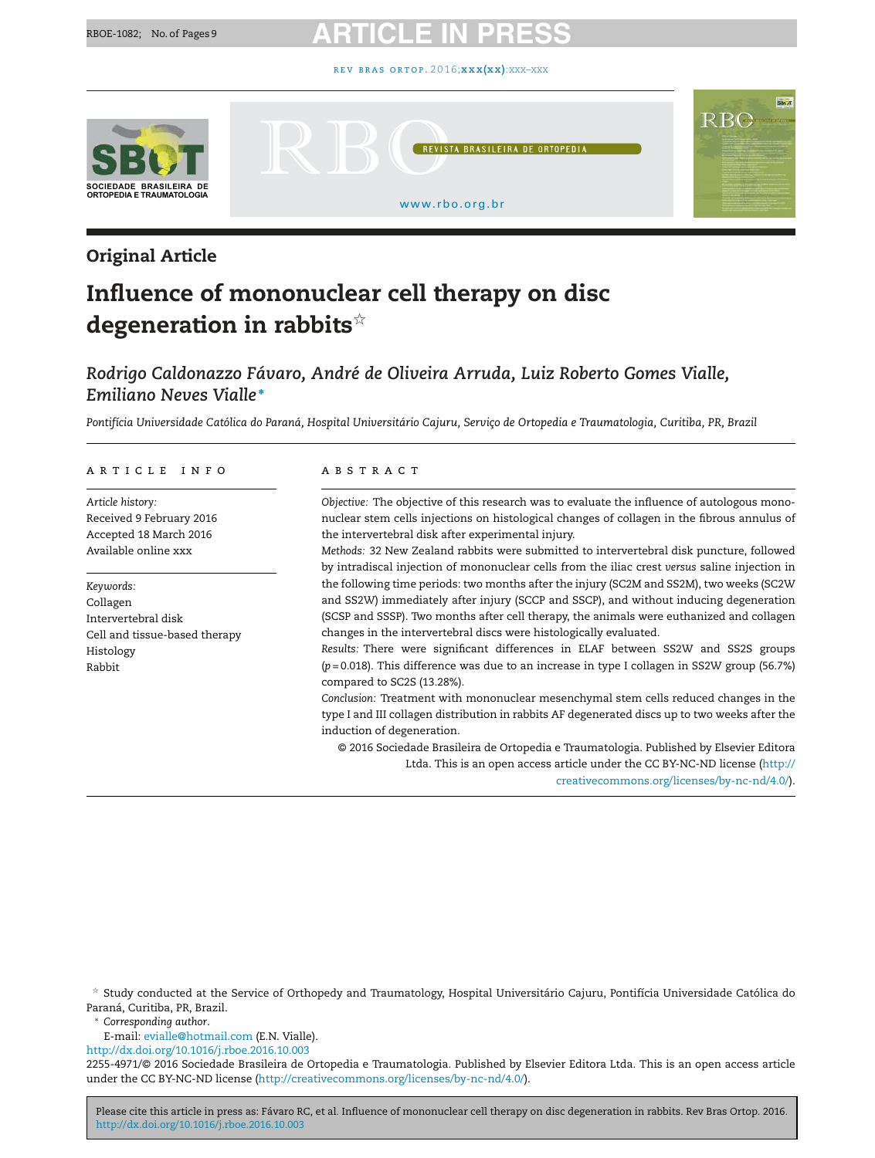

**REVISTA BRASILEIRA DE ORTOPEDI** 

[www.rbo.org.br](http://www.rbo.org.br)

# Original Article

# Influence of mononuclear cell therapy on disc degeneration in rabbits $^{\star}$

# *Rodrigo Caldonazzo Fávaro, André de Oliveira Arruda, Luiz Roberto Gomes Vialle, Emiliano Neves Vialle* <sup>∗</sup>

Pontifícia Universidade Católica do Paraná, Hospital Universitário Cajuru, Serviço de Ortopedia e Traumatologia, Curitiba, PR, Brazil

#### ARTICLE INFO

*Article history:* Received 9 February 2016 Accepted 18 March 2016 Available online xxx

*Keywords:* Collagen Intervertebral disk Cell and tissue-based therapy Histology Rabbit

#### A B S T R A C T

*Objective:* The objective of this research was to evaluate the influence of autologous mononuclear stem cells injections on histological changes of collagen in the fibrous annulus of the intervertebral disk after experimental injury.

*Methods:* 32 New Zealand rabbits were submitted to intervertebral disk puncture, followed by intradiscal injection of mononuclear cells from the iliac crest *versus* saline injection in the following time periods: two months after the injury (SC2M and SS2M), two weeks (SC2W and SS2W) immediately after injury (SCCP and SSCP), and without inducing degeneration (SCSP and SSSP). Two months after cell therapy, the animals were euthanized and collagen changes in the intervertebral discs were histologically evaluated.

*Results:* There were significant differences in ELAF between SS2W and SS2S groups (*p* = 0.018). This difference was due to an increase in type I collagen in SS2W group (56.7%) compared to SC2S (13.28%).

*Conclusion:* Treatment with mononuclear mesenchymal stem cells reduced changes in the type I and III collagen distribution in rabbits AF degenerated discs up to two weeks after the induction of degeneration.

© 2016 Sociedade Brasileira de Ortopedia e Traumatologia. Published by Elsevier Editora Ltda. This is an open access article under the CC BY-NC-ND license [\(http://](http://creativecommons.org/licenses/by-nc-nd/4.0/)

[creativecommons.org/licenses/by-nc-nd/4.0/\)](http://creativecommons.org/licenses/by-nc-nd/4.0/).

RBO

 $^\star$  Study conducted at the Service of Orthopedy and Traumatology, Hospital Universitário Cajuru, Pontifícia Universidade Católica do Paraná, Curitiba, PR, Brazil.

<sup>∗</sup> *Corresponding author*.

E-mail: [evialle@hotmail.com](mailto:evialle@hotmail.com) (E.N. Vialle).

[http://dx.doi.org/10.1016/j.rboe.2016.10.003](dx.doi.org/10.1016/j.rboe.2016.10.003)

2255-4971/© 2016 Sociedade Brasileira de Ortopedia e Traumatologia. Published by Elsevier Editora Ltda. This is an open access article under the CC BY-NC-ND license [\(http://creativecommons.org/licenses/by-nc-nd/4.0/](http://creativecommons.org/licenses/by-nc-nd/4.0/)).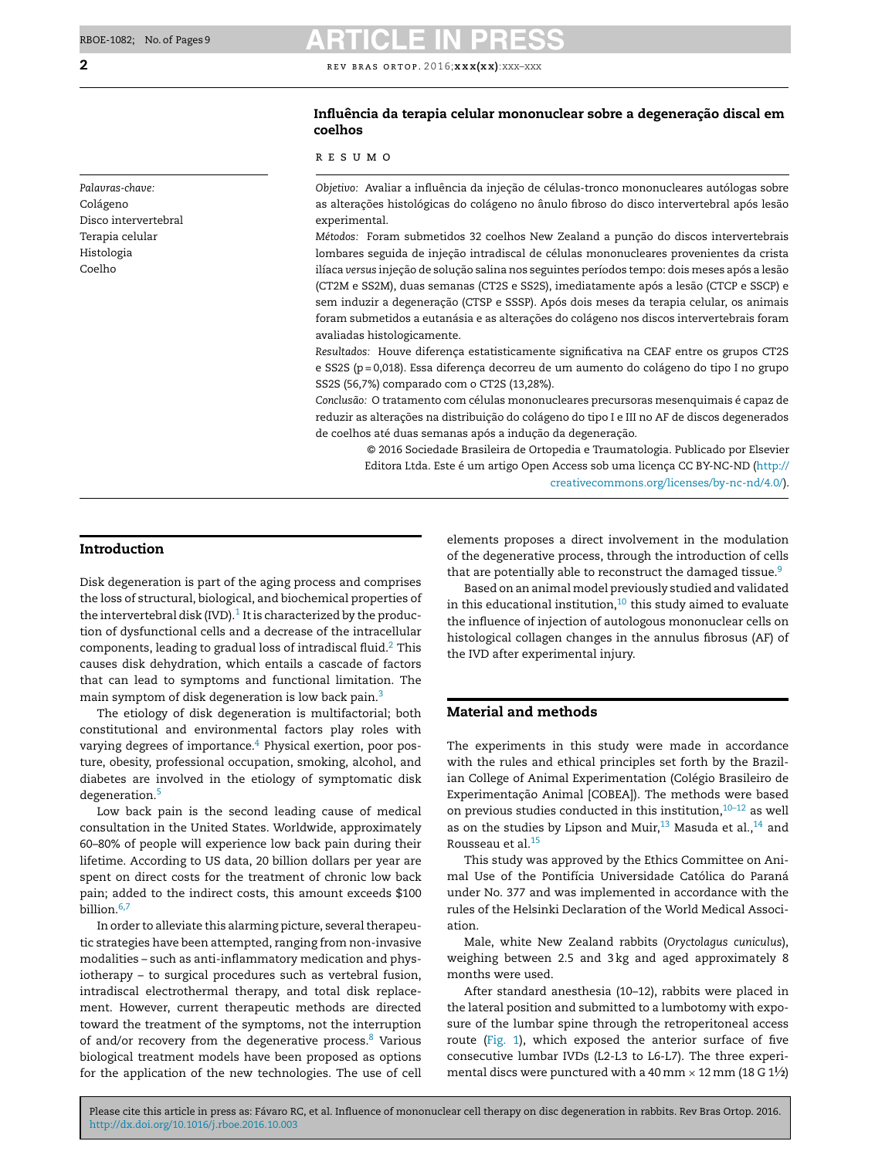### *Palavras-chave:* Colágeno Disco intervertebral Terapia celular Histologia Coelho

**2 REV BRAS ORTOP. 2016;xxx(xx)**:xxx–xxx

### Influência da terapia celular mononuclear sobre a degeneração discal em coelhos

#### r e s u m o

*Objetivo:* Avaliar a influência da injeção de células-tronco mononucleares autólogas sobre as alterações histológicas do colágeno no ânulo fibroso do disco intervertebral após lesão experimental.

*Métodos: Foram submetidos 32 coelhos New Zealand a punção do discos intervertebrais* lombares seguida de injeção intradiscal de células mononucleares provenientes da crista ilíaca *versus* injeção de solução salina nos seguintes períodos tempo: dois meses após a lesão (CT2M e SS2M), duas semanas (CT2S e SS2S), imediatamente após a lesão (CTCP e SSCP) e sem induzir a degeneração (CTSP e SSSP). Após dois meses da terapia celular, os animais foram submetidos a eutanásia e as alterações do colágeno nos discos intervertebrais foram avaliadas histologicamente.

Resultados: Houve diferença estatisticamente significativa na CEAF entre os grupos CT2S e SS2S (p = 0,018). Essa diferença decorreu de um aumento do colágeno do tipo I no grupo SS2S (56,7%) comparado com o CT2S (13,28%).

*Conclusão:* O tratamento com células mononucleares precursoras mesenquimais é capaz de reduzir as alterações na distribuição do colágeno do tipo I e III no AF de discos degenerados de coelhos até duas semanas após a indução da degeneração.

© 2016 Sociedade Brasileira de Ortopedia e Traumatologia. Publicado por Elsevier Editora Ltda. Este é um artigo Open Access sob uma licença CC BY-NC-ND ([http://](http://creativecommons.org/licenses/by-nc-nd/4.0/) [creativecommons.org/licenses/by-nc-nd/4.0/\)](http://creativecommons.org/licenses/by-nc-nd/4.0/).

### Introduction

Disk degeneration is part of the aging process and comprises the loss of structural, biological, and biochemical properties of the intervertebral disk (IVD). $^{\rm 1}$  [It](#page-7-0) is characterized by the production of dysfunctional cells and a decrease of the intracellular components, leading to gradual loss of intradiscal fluid.<sup>[2](#page-7-0)</sup> This causes disk dehydration, which entails a cascade of factors that can lead to symptoms and functional limitation. The main symptom of disk degeneration is low back pain.<sup>[3](#page-7-0)</sup>

The etiology of disk degeneration is multifactorial; both constitutional and environmental factors play roles with varying degrees of importance.<sup>[4](#page-7-0)</sup> Physical exertion, poor posture, obesity, professional occupation, smoking, alcohol, and diabetes are involved in the etiology of symptomatic disk degeneration.[5](#page-7-0)

Low back pain is the second leading cause of medical consultation in the United States. Worldwide, approximately 60–80% of people will experience low back pain during their lifetime. According to US data, 20 billion dollars per year are spent on direct costs for the treatment of chronic low back pain; added to the indirect costs, this amount exceeds \$100 billion.<sup>[6,7](#page-7-0)</sup>

In order to alleviate this alarming picture, several therapeutic strategies have been attempted, ranging from non-invasive modalities – such as anti-inflammatory medication and physiotherapy – to surgical procedures such as vertebral fusion, intradiscal electrothermal therapy, and total disk replacement. However, current therapeutic methods are directed toward the treatment of the symptoms, not the interruption of and/or recovery from the degenerative process.<sup>[8](#page-7-0)</sup> Various biological treatment models have been proposed as options for the application of the new technologies. The use of cell elements proposes a direct involvement in the modulation of the degenerative process, through the introduction of cells that are potentially able to reconstruct the damaged tissue.<sup>[9](#page-7-0)</sup>

Based on an animal model previously studied and validated in this educational institution, $10$  this study aimed to evaluate the influence of injection of autologous mononuclear cells on histological collagen changes in the annulus fibrosus (AF) of the IVD after experimental injury.

### Material and methods

The experiments in this study were made in accordance with the rules and ethical principles set forth by the Brazilian College of Animal Experimentation (Colégio Brasileiro de Experimentação Animal [COBEA]). The methods were based on previous studies conducted in this institution, $10-12$  as well as on the studies by Lipson and Muir, $^{13}$  $^{13}$  $^{13}$  Masuda et al., $^{14}$  $^{14}$  $^{14}$  and Rousseau et al.[15](#page-7-0)

This study was approved by the Ethics Committee on Animal Use of the Pontifícia Universidade Católica do Paraná under No. 377 and was implemented in accordance with the rules of the Helsinki Declaration of the World Medical Association.

Male, white New Zealand rabbits (*Oryctolagus cuniculus*), weighing between 2.5 and 3 kg and aged approximately 8 months were used.

After standard anesthesia (10–12), rabbits were placed in the lateral position and submitted to a lumbotomy with exposure of the lumbar spine through the retroperitoneal access route [\(Fig.](#page-2-0) 1), which exposed the anterior surface of five consecutive lumbar IVDs (L2-L3 to L6-L7). The three experimental discs were punctured with a 40 mm  $\times$  12 mm (18 G 1 $\frac{1}{2}$ )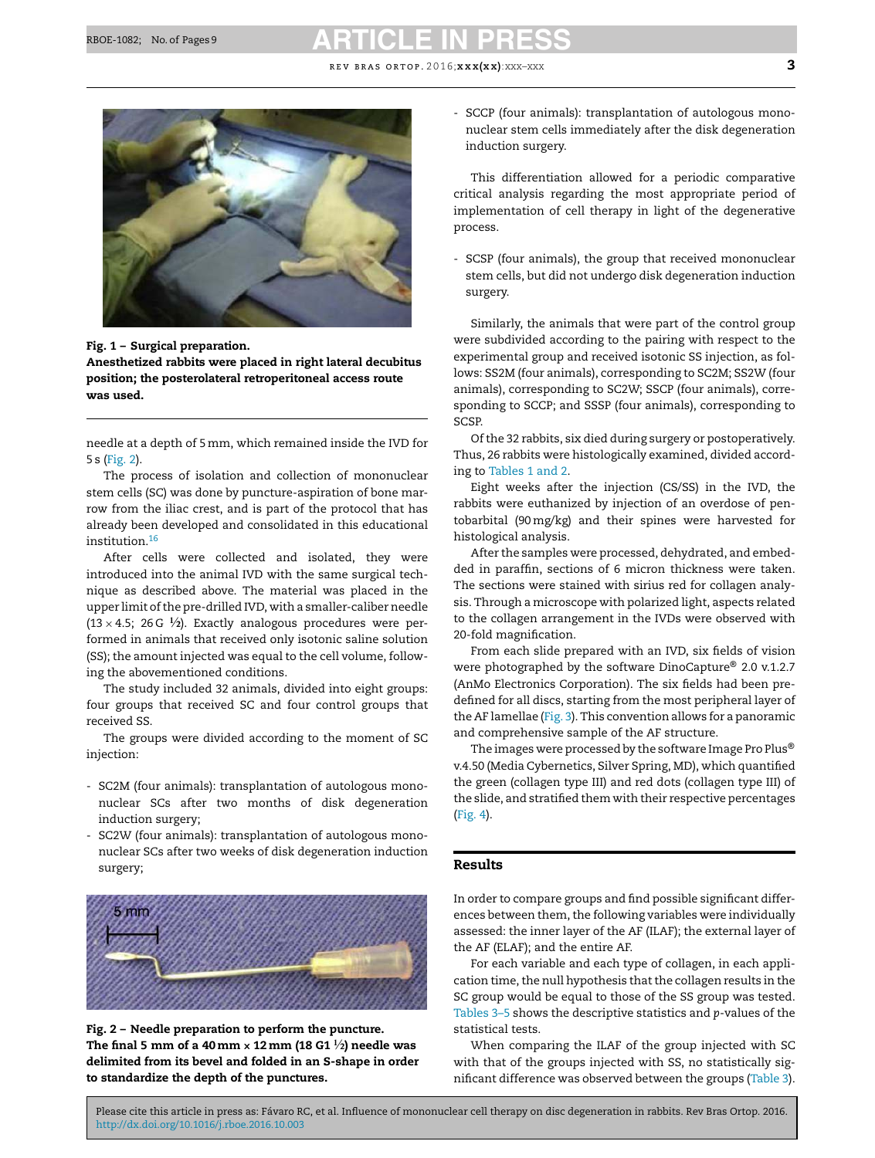**REV BRAS ORTOP. 2016;**  $\mathbf{x} \times \mathbf{x} \times \mathbf{x}$ **.**  $\mathbf{x} \times \mathbf{x} \times \mathbf{x}$  3

<span id="page-2-0"></span>

Fig. 1 – Surgical preparation.

Anesthetized rabbits were placed in right lateral decubitus position; the posterolateral retroperitoneal access route was used.

needle at a depth of 5mm, which remained inside the IVD for 5 s (Fig. 2).

The process of isolation and collection of mononuclear stem cells (SC) was done by puncture-aspiration of bone marrow from the iliac crest, and is part of the protocol that has already been developed and consolidated in this educational institution.[16](#page-7-0)

After cells were collected and isolated, they were introduced into the animal IVD with the same surgical technique as described above. The material was placed in the upper limit of the pre-drilled IVD, with a smaller-caliber needle  $(13 \times 4.5; 26 G \frac{1}{2})$ . Exactly analogous procedures were performed in animals that received only isotonic saline solution (SS); the amount injected was equal to the cell volume, following the abovementioned conditions.

The study included 32 animals, divided into eight groups: four groups that received SC and four control groups that received SS.

The groups were divided according to the moment of SC injection:

- SC2M (four animals): transplantation of autologous mononuclear SCs after two months of disk degeneration induction surgery;
- SC2W (four animals): transplantation of autologous mononuclear SCs after two weeks of disk degeneration induction surgery;



Fig. 2 – Needle preparation to perform the puncture. The final 5 mm of a 40 mm  $\times$  12 mm (18 G1  $\frac{1}{2}$ ) needle was delimited from its bevel and folded in an S-shape in order to standardize the depth of the punctures.

- SCCP (four animals): transplantation of autologous mononuclear stem cells immediately after the disk degeneration induction surgery.

This differentiation allowed for a periodic comparative critical analysis regarding the most appropriate period of implementation of cell therapy in light of the degenerative process.

- SCSP (four animals), the group that received mononuclear stem cells, but did not undergo disk degeneration induction surgery.

Similarly, the animals that were part of the control group were subdivided according to the pairing with respect to the experimental group and received isotonic SS injection, as follows: SS2M (four animals), corresponding to SC2M; SS2W (four animals), corresponding to SC2W; SSCP (four animals), corresponding to SCCP; and SSSP (four animals), corresponding to SCSP.

Of the 32 rabbits, six died during surgery or postoperatively. Thus, 26 rabbits were histologically examined, divided according to [Tables](#page-3-0) 1 and 2.

Eight weeks after the injection (CS/SS) in the IVD, the rabbits were euthanized by injection of an overdose of pentobarbital (90mg/kg) and their spines were harvested for histological analysis.

After the samples were processed, dehydrated, and embedded in paraffin, sections of 6 micron thickness were taken. The sections were stained with sirius red for collagen analysis. Through a microscope with polarized light, aspects related to the collagen arrangement in the IVDs were observed with 20-fold magnification.

From each slide prepared with an IVD, six fields of vision were photographed by the software DinoCapture® 2.0 v.1.2.7 (AnMo Electronics Corporation). The six fields had been predefined for all discs, starting from the most peripheral layer of the AF lamellae [\(Fig.](#page-3-0) 3). This convention allows for a panoramic and comprehensive sample of the AF structure.

The images were processed by the software Image Pro Plus® v.4.50 (Media Cybernetics, Silver Spring, MD), which quantified the green (collagen type III) and red dots (collagen type III) of the slide, and stratified them with their respective percentages ([Fig.](#page-4-0) 4).

### Results

In order to compare groups and find possible significant differences between them, the following variables were individually assessed: the inner layer of the AF (ILAF); the external layer of the AF (ELAF); and the entire AF.

For each variable and each type of collagen, in each application time, the null hypothesis that the collagen results in the SC group would be equal to those of the SS group was tested. [Tables](#page-4-0) 3–5 shows the descriptive statistics and *p*-values of the statistical tests.

When comparing the ILAF of the group injected with SC with that of the groups injected with SS, no statistically significant difference was observed between the groups ([Table](#page-4-0) 3).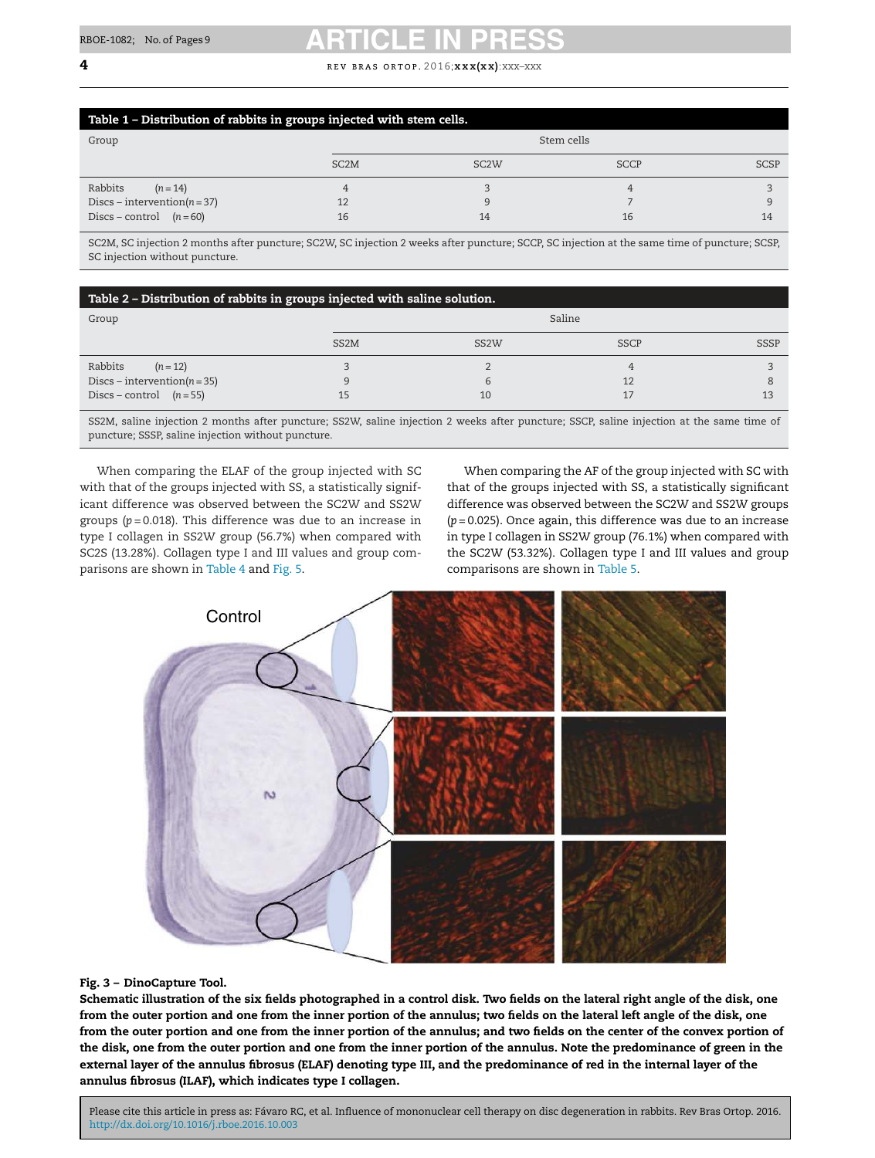#### <span id="page-3-0"></span>**4 r** ev BRAS ORTOP. 2016;**x x x(x x)**:xxx–xxx

| Table 1 - Distribution of rabbits in groups injected with stem cells. |                   |                   |             |             |  |  |  |
|-----------------------------------------------------------------------|-------------------|-------------------|-------------|-------------|--|--|--|
| Group                                                                 | Stem cells        |                   |             |             |  |  |  |
|                                                                       | SC <sub>2</sub> M | SC <sub>2</sub> W | <b>SCCP</b> | <b>SCSP</b> |  |  |  |
| Rabbits<br>$(n=14)$                                                   |                   |                   |             |             |  |  |  |
| Discs – intervention $(n=37)$                                         |                   |                   |             |             |  |  |  |
| Discs – control $(n=60)$                                              | 16                | 14                | 16          | 14          |  |  |  |

SC2M, SC injection 2 months after puncture; SC2W, SC injection 2 weeks after puncture; SCCP, SC injection at the same time of puncture; SCSP, SC injection without puncture.

#### Table 2 – Distribution of rabbits in groups injected with saline solution.

| Group                            |                   | Saline            |             |             |  |  |
|----------------------------------|-------------------|-------------------|-------------|-------------|--|--|
|                                  | SS <sub>2</sub> M | SS <sub>2</sub> W | <b>SSCP</b> | <b>SSSP</b> |  |  |
| Rabbits<br>$(n=12)$              |                   |                   |             |             |  |  |
| Discs – intervention( $n = 35$ ) |                   |                   | 12          |             |  |  |
| Discs – control $(n=55)$         |                   | 10                |             | 12          |  |  |

SS2M, saline injection 2 months after puncture; SS2W, saline injection 2 weeks after puncture; SSCP, saline injection at the same time of puncture; SSSP, saline injection without puncture.

When comparing the ELAF of the group injected with SC with that of the groups injected with SS, a statistically significant difference was observed between the SC2W and SS2W groups (*p* = 0.018). This difference was due to an increase in type I collagen in SS2W group (56.7%) when compared with SC2S (13.28%). Collagen type I and III values and group comparisons are shown in [Table](#page-5-0) 4 and [Fig.](#page-6-0) 5.

When comparing the AF of the group injected with SC with that of the groups injected with SS, a statistically significant difference was observed between the SC2W and SS2W groups (*p* = 0.025). Once again, this difference was due to an increase in type I collagen in SS2W group (76.1%) when compared with the SC2W (53.32%). Collagen type I and III values and group comparisons are shown in [Table](#page-5-0) 5.



#### Fig. 3 – DinoCapture Tool.

Schematic illustration of the six fields photographed in a control disk. Two fields on the lateral right angle of the disk, one from the outer portion and one from the inner portion of the annulus; two fields on the lateral left angle of the disk, one from the outer portion and one from the inner portion of the annulus; and two fields on the center of the convex portion of the disk, one from the outer portion and one from the inner portion of the annulus. Note the predominance of green in the external layer of the annulus fibrosus (ELAF) denoting type III, and the predominance of red in the internal layer of the annulus fibrosus (ILAF), which indicates type I collagen.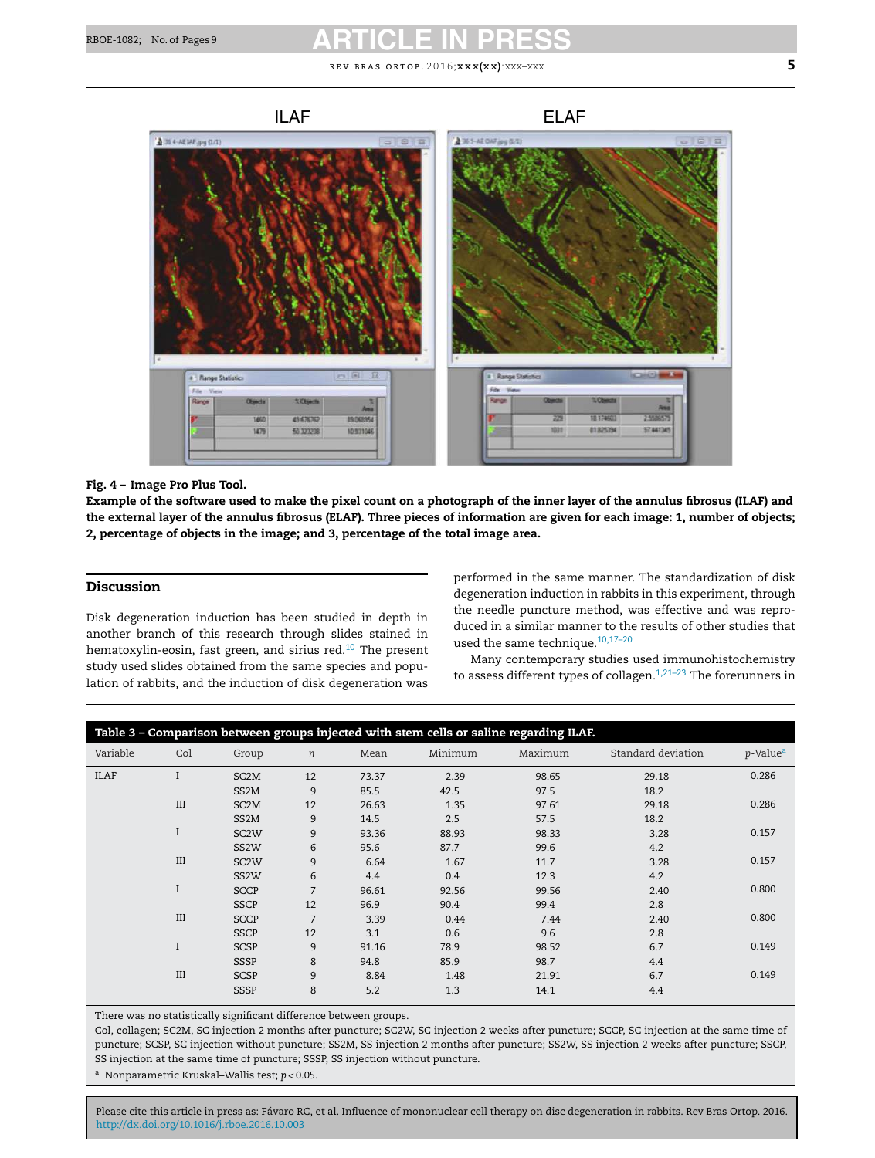<span id="page-4-0"></span>

### Fig. 4 – Image Pro Plus Tool.

Example of the software used to make the pixel count on a photograph of the inner layer of the annulus fibrosus (ILAF) and the external layer of the annulus fibrosus (ELAF). Three pieces of information are given for each image: 1, number of objects; 2, percentage of objects in the image; and 3, percentage of the total image area.

### Discussion

Disk degeneration induction has been studied in depth in another branch of this research through slides stained in hematoxylin-eosin, fast green, and sirius red.<sup>[10](#page-7-0)</sup> The present study used slides obtained from the same species and population of rabbits, and the induction of disk degeneration was

performed in the same manner. The standardization of disk degeneration induction in rabbits in this experiment, through the needle puncture method, was effective and was reproduced in a similar manner to the results of other studies that used the same technique.[10,17–20](#page-7-0)

Many contemporary studies used immunohistochemistry to assess different types of collagen.<sup>1,21-23</sup> The forerunners in

| Table 3 - Comparison between groups injected with stem cells or saline regarding ILAF. |     |                   |                  |       |         |         |                    |                         |
|----------------------------------------------------------------------------------------|-----|-------------------|------------------|-------|---------|---------|--------------------|-------------------------|
| Variable                                                                               | Col | Group             | $\boldsymbol{n}$ | Mean  | Minimum | Maximum | Standard deviation | $p$ -Value <sup>a</sup> |
| <b>ILAF</b>                                                                            |     | SC <sub>2</sub> M | 12               | 73.37 | 2.39    | 98.65   | 29.18              | 0.286                   |
|                                                                                        |     | SS2M              | 9                | 85.5  | 42.5    | 97.5    | 18.2               |                         |
|                                                                                        | III | SC <sub>2</sub> M | 12               | 26.63 | 1.35    | 97.61   | 29.18              | 0.286                   |
|                                                                                        |     | SS <sub>2</sub> M | 9                | 14.5  | 2.5     | 57.5    | 18.2               |                         |
|                                                                                        | I   | SC <sub>2</sub> W | 9                | 93.36 | 88.93   | 98.33   | 3.28               | 0.157                   |
|                                                                                        |     | SS <sub>2</sub> W | 6                | 95.6  | 87.7    | 99.6    | 4.2                |                         |
|                                                                                        | III | SC <sub>2</sub> W | 9                | 6.64  | 1.67    | 11.7    | 3.28               | 0.157                   |
|                                                                                        |     | SS <sub>2</sub> W | 6                | 4.4   | 0.4     | 12.3    | 4.2                |                         |
|                                                                                        | I   | <b>SCCP</b>       | $\overline{7}$   | 96.61 | 92.56   | 99.56   | 2.40               | 0.800                   |
|                                                                                        |     | <b>SSCP</b>       | 12               | 96.9  | 90.4    | 99.4    | 2.8                |                         |
|                                                                                        | III | <b>SCCP</b>       | $\overline{7}$   | 3.39  | 0.44    | 7.44    | 2.40               | 0.800                   |
|                                                                                        |     | <b>SSCP</b>       | 12               | 3.1   | 0.6     | 9.6     | 2.8                |                         |
|                                                                                        | I   | SCSP              | 9                | 91.16 | 78.9    | 98.52   | 6.7                | 0.149                   |
|                                                                                        |     | SSSP              | 8                | 94.8  | 85.9    | 98.7    | 4.4                |                         |
|                                                                                        | III | <b>SCSP</b>       | 9                | 8.84  | 1.48    | 21.91   | 6.7                | 0.149                   |
|                                                                                        |     | <b>SSSP</b>       | 8                | 5.2   | 1.3     | 14.1    | 4.4                |                         |

There was no statistically significant difference between groups.

Col, collagen; SC2M, SC injection 2 months after puncture; SC2W, SC injection 2 weeks after puncture; SCCP, SC injection at the same time of puncture; SCSP, SC injection without puncture; SS2M, SS injection 2 months after puncture; SS2W, SS injection 2 weeks after puncture; SSCP, SS injection at the same time of puncture; SSSP, SS injection without puncture.

<sup>a</sup> Nonparametric Kruskal–Wallis test; *p* < 0.05.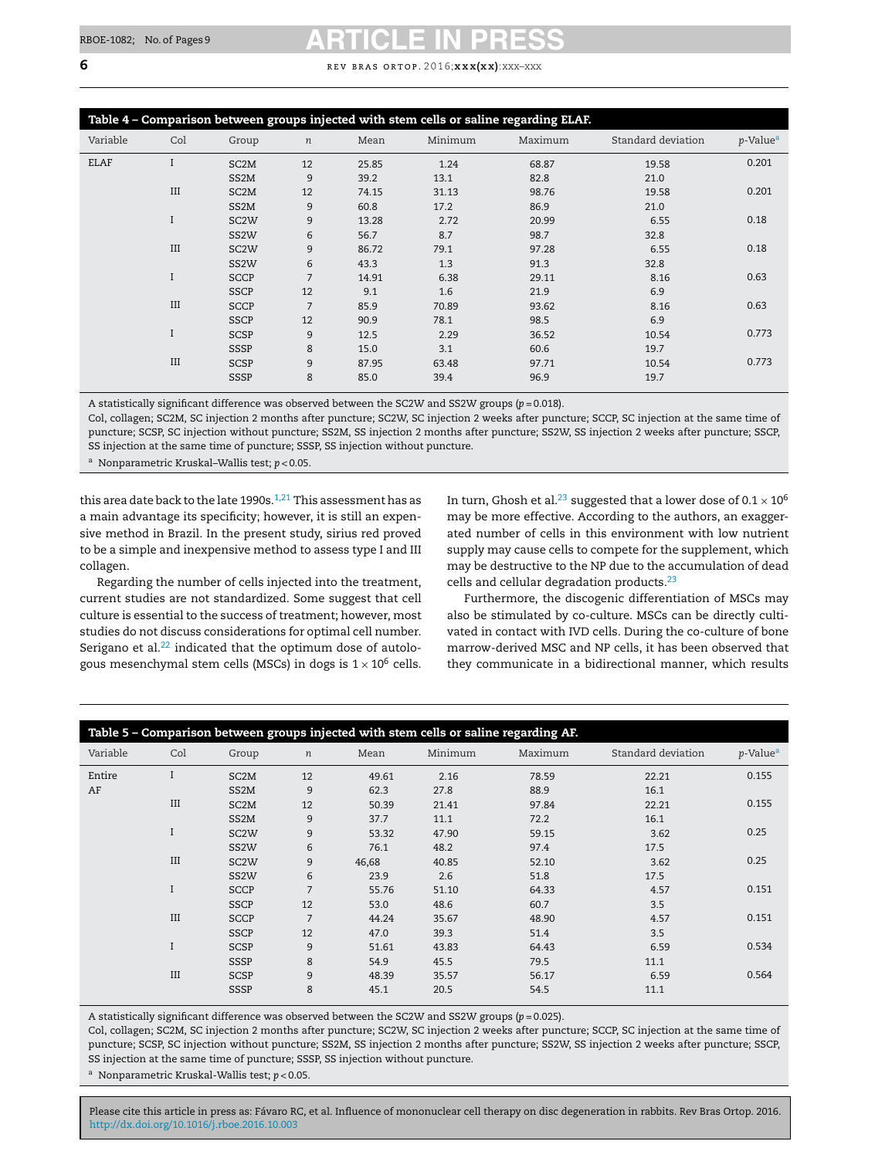| Table 4 - Comparison between groups injected with stem cells or saline regarding ELAF. |              |                   |                  |       |         |         |                    |                      |
|----------------------------------------------------------------------------------------|--------------|-------------------|------------------|-------|---------|---------|--------------------|----------------------|
| Variable                                                                               | Col          | Group             | $\boldsymbol{n}$ | Mean  | Minimum | Maximum | Standard deviation | p-Value <sup>a</sup> |
| ELAF                                                                                   |              | SC <sub>2</sub> M | 12               | 25.85 | 1.24    | 68.87   | 19.58              | 0.201                |
|                                                                                        |              | SS2M              | 9                | 39.2  | 13.1    | 82.8    | 21.0               |                      |
|                                                                                        | III          | SC <sub>2</sub> M | 12               | 74.15 | 31.13   | 98.76   | 19.58              | 0.201                |
|                                                                                        |              | SS2M              | 9                | 60.8  | 17.2    | 86.9    | 21.0               |                      |
|                                                                                        | I            | SC <sub>2</sub> W | 9                | 13.28 | 2.72    | 20.99   | 6.55               | 0.18                 |
|                                                                                        |              | SS <sub>2</sub> W | 6                | 56.7  | 8.7     | 98.7    | 32.8               |                      |
|                                                                                        | III          | SC <sub>2</sub> W | 9                | 86.72 | 79.1    | 97.28   | 6.55               | 0.18                 |
|                                                                                        |              | SS <sub>2</sub> W | 6                | 43.3  | 1.3     | 91.3    | 32.8               |                      |
|                                                                                        | $\mathbf{I}$ | <b>SCCP</b>       | 7                | 14.91 | 6.38    | 29.11   | 8.16               | 0.63                 |
|                                                                                        |              | <b>SSCP</b>       | 12               | 9.1   | 1.6     | 21.9    | 6.9                |                      |
|                                                                                        | III          | <b>SCCP</b>       | $\overline{7}$   | 85.9  | 70.89   | 93.62   | 8.16               | 0.63                 |
|                                                                                        |              | <b>SSCP</b>       | 12               | 90.9  | 78.1    | 98.5    | 6.9                |                      |
|                                                                                        |              | <b>SCSP</b>       | 9                | 12.5  | 2.29    | 36.52   | 10.54              | 0.773                |
|                                                                                        |              | <b>SSSP</b>       | 8                | 15.0  | 3.1     | 60.6    | 19.7               |                      |
|                                                                                        | III          | <b>SCSP</b>       | 9                | 87.95 | 63.48   | 97.71   | 10.54              | 0.773                |
|                                                                                        |              | <b>SSSP</b>       | 8                | 85.0  | 39.4    | 96.9    | 19.7               |                      |

A statistically significant difference was observed between the SC2W and SS2W groups (*p* = 0.018).

Col, collagen; SC2M, SC injection 2 months after puncture; SC2W, SC injection 2 weeks after puncture; SCCP, SC injection at the same time of puncture; SCSP, SC injection without puncture; SS2M, SS injection 2 months after puncture; SS2W, SS injection 2 weeks after puncture; SSCP, SS injection at the same time of puncture; SSSP, SS injection without puncture.

<sup>a</sup> Nonparametric Kruskal–Wallis test; *p* < 0.05.

this area date back to the late 1990s. $1,21$  This assessment has as a main advantage its specificity; however, it is still an expensive method in Brazil. In the present study, sirius red proved to be a simple and inexpensive method to assess type I and III collagen.

Regarding the number of cells injected into the treatment, current studies are not standardized. Some suggest that cell culture is essential to the success of treatment; however, most studies do not discuss considerations for optimal cell number. Serigano et al. $22$  indicated that the optimum dose of autologous mesenchymal stem cells (MSCs) in dogs is  $1 \times 10^6$  cells.

In turn, Ghosh et al.<sup>[23](#page-7-0)</sup> suggested that a lower dose of  $0.1 \times 10^6$ may be more effective. According to the authors, an exaggerated number of cells in this environment with low nutrient supply may cause cells to compete for the supplement, which may be destructive to the NP due to the accumulation of dead cells and cellular degradation products.[23](#page-7-0)

Furthermore, the discogenic differentiation of MSCs may also be stimulated by co-culture. MSCs can be directly cultivated in contact with IVD cells. During the co-culture of bone marrow-derived MSC and NP cells, it has been observed that they communicate in a bidirectional manner, which results

| Table 5 - Comparison between groups injected with stem cells or saline regarding AF. |     |                   |                  |       |         |         |                    |                         |
|--------------------------------------------------------------------------------------|-----|-------------------|------------------|-------|---------|---------|--------------------|-------------------------|
| Variable                                                                             | Col | Group             | $\boldsymbol{n}$ | Mean  | Minimum | Maximum | Standard deviation | $p$ -Value <sup>a</sup> |
| Entire                                                                               |     | SC <sub>2</sub> M | 12               | 49.61 | 2.16    | 78.59   | 22.21              | 0.155                   |
| AF                                                                                   |     | SS2M              | 9                | 62.3  | 27.8    | 88.9    | 16.1               |                         |
|                                                                                      | III | SC <sub>2</sub> M | 12               | 50.39 | 21.41   | 97.84   | 22.21              | 0.155                   |
|                                                                                      |     | SS <sub>2</sub> M | 9                | 37.7  | 11.1    | 72.2    | 16.1               |                         |
|                                                                                      |     | SC <sub>2</sub> W | 9                | 53.32 | 47.90   | 59.15   | 3.62               | 0.25                    |
|                                                                                      |     | SS <sub>2</sub> W | 6                | 76.1  | 48.2    | 97.4    | 17.5               |                         |
|                                                                                      | III | SC <sub>2</sub> W | 9                | 46,68 | 40.85   | 52.10   | 3.62               | 0.25                    |
|                                                                                      |     | SS <sub>2</sub> W | 6                | 23.9  | 2.6     | 51.8    | 17.5               |                         |
|                                                                                      |     | <b>SCCP</b>       | 7                | 55.76 | 51.10   | 64.33   | 4.57               | 0.151                   |
|                                                                                      |     | <b>SSCP</b>       | 12               | 53.0  | 48.6    | 60.7    | 3.5                |                         |
|                                                                                      | III | <b>SCCP</b>       | $\overline{7}$   | 44.24 | 35.67   | 48.90   | 4.57               | 0.151                   |
|                                                                                      |     | <b>SSCP</b>       | 12               | 47.0  | 39.3    | 51.4    | 3.5                |                         |
|                                                                                      |     | <b>SCSP</b>       | 9                | 51.61 | 43.83   | 64.43   | 6.59               | 0.534                   |
|                                                                                      |     | SSSP              | 8                | 54.9  | 45.5    | 79.5    | 11.1               |                         |
|                                                                                      | III | <b>SCSP</b>       | 9                | 48.39 | 35.57   | 56.17   | 6.59               | 0.564                   |
|                                                                                      |     | <b>SSSP</b>       | 8                | 45.1  | 20.5    | 54.5    | 11.1               |                         |

A statistically significant difference was observed between the SC2W and SS2W groups (*p* = 0.025).

Col, collagen; SC2M, SC injection 2 months after puncture; SC2W, SC injection 2 weeks after puncture; SCCP, SC injection at the same time of puncture; SCSP, SC injection without puncture; SS2M, SS injection 2 months after puncture; SS2W, SS injection 2 weeks after puncture; SSCP, SS injection at the same time of puncture; SSSP, SS injection without puncture.

<sup>a</sup> Nonparametric Kruskal-Wallis test; *p* < 0.05.

<span id="page-5-0"></span>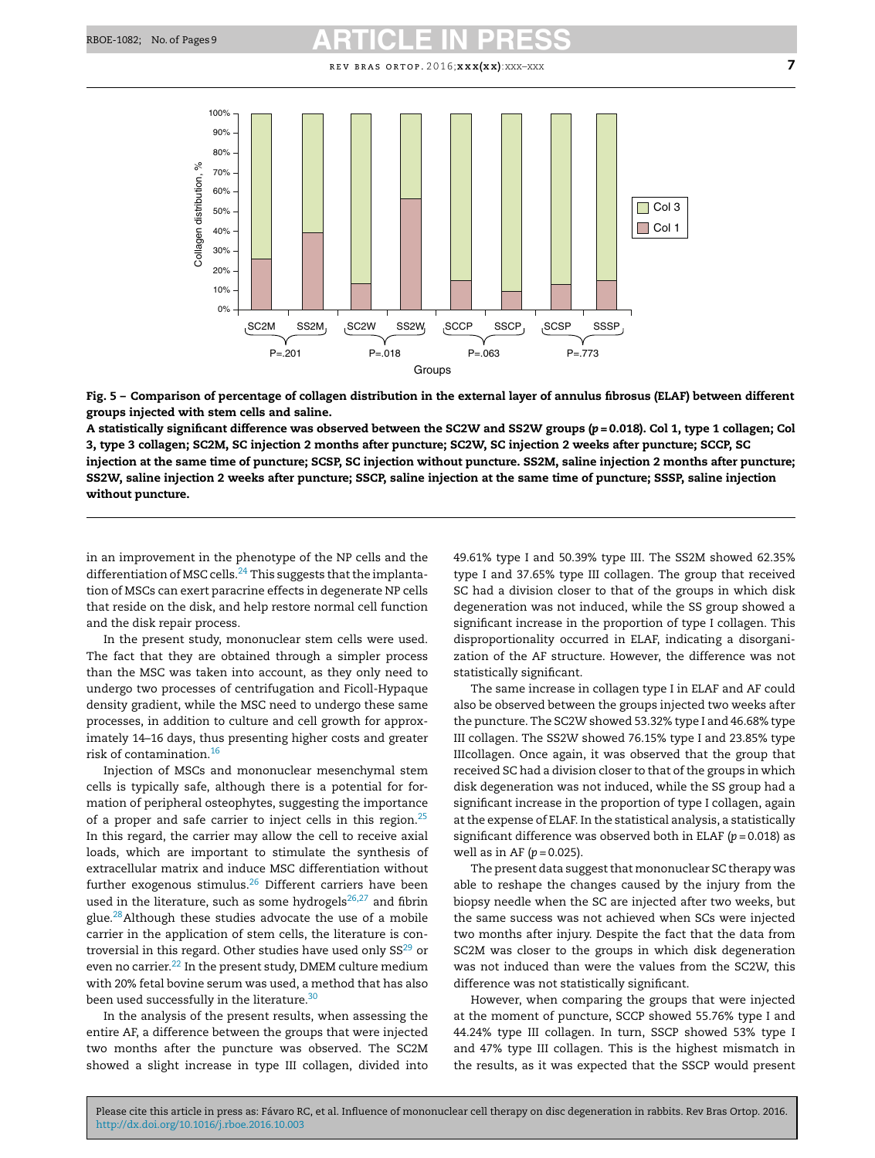<span id="page-6-0"></span>

Fig. 5 – Comparison of percentage of collagen distribution in the external layer of annulus fibrosus (ELAF) between different groups injected with stem cells and saline.

A statistically significant difference was observed between the SC2W and SS2W groups (*p* = 0.018). Col 1, type 1 collagen; Col 3, type 3 collagen; SC2M, SC injection 2 months after puncture; SC2W, SC injection 2 weeks after puncture; SCCP, SC injection at the same time of puncture; SCSP, SC injection without puncture. SS2M, saline injection 2 months after puncture; SS2W, saline injection 2 weeks after puncture; SSCP, saline injection at the same time of puncture; SSSP, saline injection without puncture.

in an improvement in the phenotype of the NP cells and the differentiation of MSC cells. $^{24}$  $^{24}$  $^{24}$  This suggests that the implantation of MSCs can exert paracrine effects in degenerate NP cells that reside on the disk, and help restore normal cell function and the disk repair process.

In the present study, mononuclear stem cells were used. The fact that they are obtained through a simpler process than the MSC was taken into account, as they only need to undergo two processes of centrifugation and Ficoll-Hypaque density gradient, while the MSC need to undergo these same processes, in addition to culture and cell growth for approximately 14–16 days, thus presenting higher costs and greater risk of contamination.[16](#page-7-0)

Injection of MSCs and mononuclear mesenchymal stem cells is typically safe, although there is a potential for formation of peripheral osteophytes, suggesting the importance of a proper and safe carrier to inject cells in this region.<sup>[25](#page-7-0)</sup> In this regard, the carrier may allow the cell to receive axial loads, which are important to stimulate the synthesis of extracellular matrix and induce MSC differentiation without further exogenous stimulus.<sup>[26](#page-7-0)</sup> Different carriers have been used in the literature, such as some hydrogels $26,27$  and fibrin glue.[28](#page-8-0)Although these studies advocate the use of a mobile carrier in the application of stem cells, the literature is controversial in this regard. Other studies have used only  $SS^{29}$  $SS^{29}$  $SS^{29}$  or even no carrier.<sup>[22](#page-7-0)</sup> In the present study, DMEM culture medium with 20% fetal bovine serum was used, a method that has also been used successfully in the literature.<sup>[30](#page-8-0)</sup>

In the analysis of the present results, when assessing the entire AF, a difference between the groups that were injected two months after the puncture was observed. The SC2M showed a slight increase in type III collagen, divided into 49.61% type I and 50.39% type III. The SS2M showed 62.35% type I and 37.65% type III collagen. The group that received SC had a division closer to that of the groups in which disk degeneration was not induced, while the SS group showed a significant increase in the proportion of type I collagen. This disproportionality occurred in ELAF, indicating a disorganization of the AF structure. However, the difference was not statistically significant.

The same increase in collagen type I in ELAF and AF could also be observed between the groups injected two weeks after the puncture. The SC2W showed 53.32% type I and 46.68% type III collagen. The SS2W showed 76.15% type I and 23.85% type IIIcollagen. Once again, it was observed that the group that received SC had a division closer to that of the groups in which disk degeneration was not induced, while the SS group had a significant increase in the proportion of type I collagen, again atthe expense of ELAF. In the statistical analysis, a statistically significant difference was observed both in ELAF (*p* = 0.018) as well as in AF  $(p = 0.025)$ .

The present data suggest that mononuclear SC therapy was able to reshape the changes caused by the injury from the biopsy needle when the SC are injected after two weeks, but the same success was not achieved when SCs were injected two months after injury. Despite the fact that the data from SC2M was closer to the groups in which disk degeneration was not induced than were the values from the SC2W, this difference was not statistically significant.

However, when comparing the groups that were injected at the moment of puncture, SCCP showed 55.76% type I and 44.24% type III collagen. In turn, SSCP showed 53% type I and 47% type III collagen. This is the highest mismatch in the results, as it was expected that the SSCP would present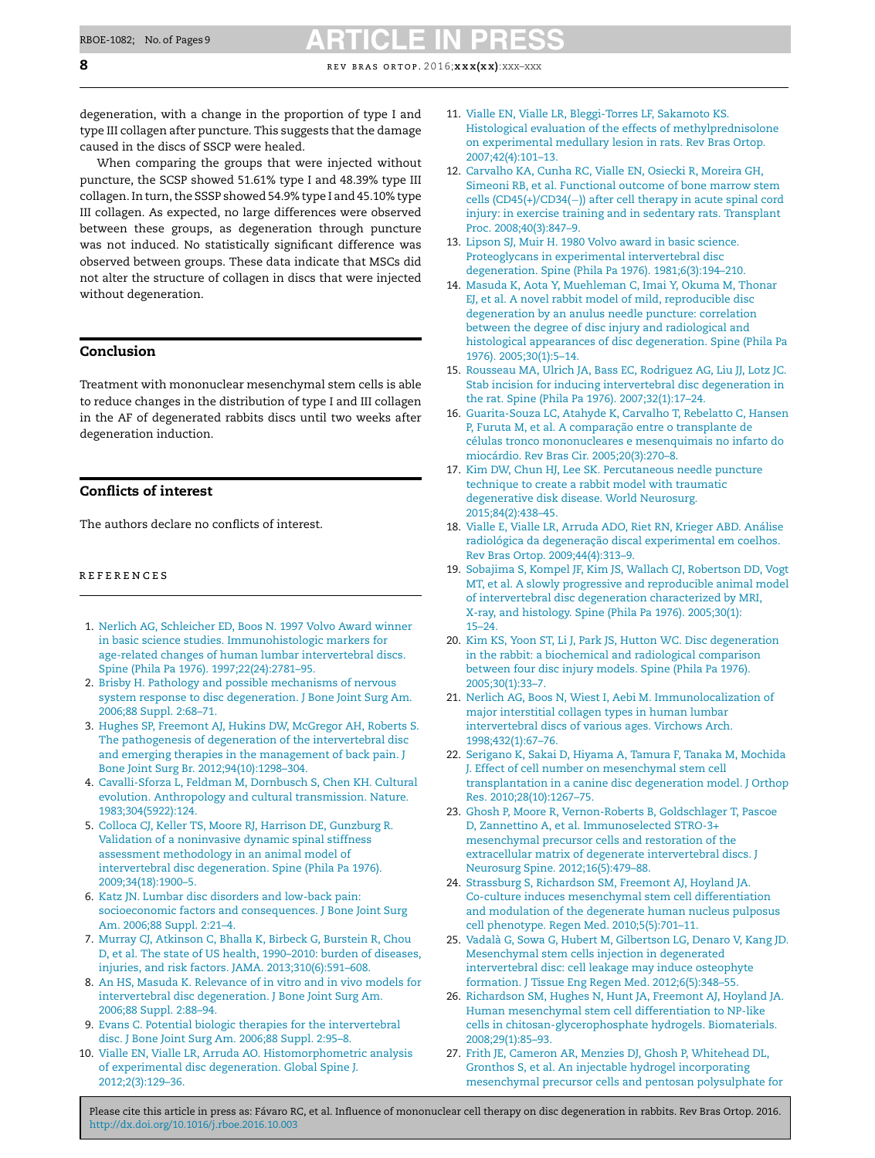degeneration, with a change in the proportion of type I and type III collagen after puncture. This suggests that the damage caused in the discs of SSCP were healed.

When comparing the groups that were injected without puncture, the SCSP showed 51.61% type I and 48.39% type III collagen. In turn, the SSSP showed 54.9% type I and 45.10% type III collagen. As expected, no large differences were observed between these groups, as degeneration through puncture was not induced. No statistically significant difference was observed between groups. These data indicate that MSCs did not alter the structure of collagen in discs that were injected without degeneration.

### Conclusion

Treatment with mononuclear mesenchymal stem cells is able to reduce changes in the distribution of type I and III collagen in the AF of degenerated rabbits discs until two weeks after degeneration induction.

### Conflicts of interest

The authors declare no conflicts of interest.

### r e f e r enc e s

- 1. [Nerlich](http://refhub.elsevier.com/S2255-4971(16)30101-X/sbref0155) [AG,](http://refhub.elsevier.com/S2255-4971(16)30101-X/sbref0155) [Schleicher](http://refhub.elsevier.com/S2255-4971(16)30101-X/sbref0155) [ED,](http://refhub.elsevier.com/S2255-4971(16)30101-X/sbref0155) [Boos](http://refhub.elsevier.com/S2255-4971(16)30101-X/sbref0155) [N.](http://refhub.elsevier.com/S2255-4971(16)30101-X/sbref0155) [1997](http://refhub.elsevier.com/S2255-4971(16)30101-X/sbref0155) [Volvo](http://refhub.elsevier.com/S2255-4971(16)30101-X/sbref0155) [Award](http://refhub.elsevier.com/S2255-4971(16)30101-X/sbref0155) [winner](http://refhub.elsevier.com/S2255-4971(16)30101-X/sbref0155) [in](http://refhub.elsevier.com/S2255-4971(16)30101-X/sbref0155) [basic](http://refhub.elsevier.com/S2255-4971(16)30101-X/sbref0155) [science](http://refhub.elsevier.com/S2255-4971(16)30101-X/sbref0155) [studies.](http://refhub.elsevier.com/S2255-4971(16)30101-X/sbref0155) [Immunohistologic](http://refhub.elsevier.com/S2255-4971(16)30101-X/sbref0155) [markers](http://refhub.elsevier.com/S2255-4971(16)30101-X/sbref0155) [for](http://refhub.elsevier.com/S2255-4971(16)30101-X/sbref0155) [age-related](http://refhub.elsevier.com/S2255-4971(16)30101-X/sbref0155) [changes](http://refhub.elsevier.com/S2255-4971(16)30101-X/sbref0155) [of](http://refhub.elsevier.com/S2255-4971(16)30101-X/sbref0155) [human](http://refhub.elsevier.com/S2255-4971(16)30101-X/sbref0155) [lumbar](http://refhub.elsevier.com/S2255-4971(16)30101-X/sbref0155) [intervertebral](http://refhub.elsevier.com/S2255-4971(16)30101-X/sbref0155) [discs.](http://refhub.elsevier.com/S2255-4971(16)30101-X/sbref0155) [Spine](http://refhub.elsevier.com/S2255-4971(16)30101-X/sbref0155) [\(Phila](http://refhub.elsevier.com/S2255-4971(16)30101-X/sbref0155) [Pa](http://refhub.elsevier.com/S2255-4971(16)30101-X/sbref0155) [1976\).](http://refhub.elsevier.com/S2255-4971(16)30101-X/sbref0155) [1997;22\(24\):2781–95.](http://refhub.elsevier.com/S2255-4971(16)30101-X/sbref0155)
- 2. [Brisby](http://refhub.elsevier.com/S2255-4971(16)30101-X/sbref0160) [H.](http://refhub.elsevier.com/S2255-4971(16)30101-X/sbref0160) [Pathology](http://refhub.elsevier.com/S2255-4971(16)30101-X/sbref0160) [and](http://refhub.elsevier.com/S2255-4971(16)30101-X/sbref0160) [possible](http://refhub.elsevier.com/S2255-4971(16)30101-X/sbref0160) [mechanisms](http://refhub.elsevier.com/S2255-4971(16)30101-X/sbref0160) [of](http://refhub.elsevier.com/S2255-4971(16)30101-X/sbref0160) [nervous](http://refhub.elsevier.com/S2255-4971(16)30101-X/sbref0160) [system](http://refhub.elsevier.com/S2255-4971(16)30101-X/sbref0160) [response](http://refhub.elsevier.com/S2255-4971(16)30101-X/sbref0160) [to](http://refhub.elsevier.com/S2255-4971(16)30101-X/sbref0160) [disc](http://refhub.elsevier.com/S2255-4971(16)30101-X/sbref0160) [degeneration.](http://refhub.elsevier.com/S2255-4971(16)30101-X/sbref0160) [J](http://refhub.elsevier.com/S2255-4971(16)30101-X/sbref0160) [Bone](http://refhub.elsevier.com/S2255-4971(16)30101-X/sbref0160) [Joint](http://refhub.elsevier.com/S2255-4971(16)30101-X/sbref0160) [Surg](http://refhub.elsevier.com/S2255-4971(16)30101-X/sbref0160) [Am.](http://refhub.elsevier.com/S2255-4971(16)30101-X/sbref0160) [2006;88](http://refhub.elsevier.com/S2255-4971(16)30101-X/sbref0160) [Suppl.](http://refhub.elsevier.com/S2255-4971(16)30101-X/sbref0160) [2:68–71.](http://refhub.elsevier.com/S2255-4971(16)30101-X/sbref0160)
- 3. [Hughes](http://refhub.elsevier.com/S2255-4971(16)30101-X/sbref0165) [SP,](http://refhub.elsevier.com/S2255-4971(16)30101-X/sbref0165) [Freemont](http://refhub.elsevier.com/S2255-4971(16)30101-X/sbref0165) [AJ,](http://refhub.elsevier.com/S2255-4971(16)30101-X/sbref0165) [Hukins](http://refhub.elsevier.com/S2255-4971(16)30101-X/sbref0165) [DW,](http://refhub.elsevier.com/S2255-4971(16)30101-X/sbref0165) [McGregor](http://refhub.elsevier.com/S2255-4971(16)30101-X/sbref0165) [AH,](http://refhub.elsevier.com/S2255-4971(16)30101-X/sbref0165) [Roberts](http://refhub.elsevier.com/S2255-4971(16)30101-X/sbref0165) [S.](http://refhub.elsevier.com/S2255-4971(16)30101-X/sbref0165) [The](http://refhub.elsevier.com/S2255-4971(16)30101-X/sbref0165) [pathogenesis](http://refhub.elsevier.com/S2255-4971(16)30101-X/sbref0165) [of](http://refhub.elsevier.com/S2255-4971(16)30101-X/sbref0165) [degeneration](http://refhub.elsevier.com/S2255-4971(16)30101-X/sbref0165) [of](http://refhub.elsevier.com/S2255-4971(16)30101-X/sbref0165) [the](http://refhub.elsevier.com/S2255-4971(16)30101-X/sbref0165) [intervertebral](http://refhub.elsevier.com/S2255-4971(16)30101-X/sbref0165) [disc](http://refhub.elsevier.com/S2255-4971(16)30101-X/sbref0165) [and](http://refhub.elsevier.com/S2255-4971(16)30101-X/sbref0165) [emerging](http://refhub.elsevier.com/S2255-4971(16)30101-X/sbref0165) [therapies](http://refhub.elsevier.com/S2255-4971(16)30101-X/sbref0165) [in](http://refhub.elsevier.com/S2255-4971(16)30101-X/sbref0165) [the](http://refhub.elsevier.com/S2255-4971(16)30101-X/sbref0165) [management](http://refhub.elsevier.com/S2255-4971(16)30101-X/sbref0165) [of](http://refhub.elsevier.com/S2255-4971(16)30101-X/sbref0165) [back](http://refhub.elsevier.com/S2255-4971(16)30101-X/sbref0165) [pain.](http://refhub.elsevier.com/S2255-4971(16)30101-X/sbref0165) [J](http://refhub.elsevier.com/S2255-4971(16)30101-X/sbref0165) [Bone](http://refhub.elsevier.com/S2255-4971(16)30101-X/sbref0165) [Joint](http://refhub.elsevier.com/S2255-4971(16)30101-X/sbref0165) [Surg](http://refhub.elsevier.com/S2255-4971(16)30101-X/sbref0165) [Br.](http://refhub.elsevier.com/S2255-4971(16)30101-X/sbref0165) [2012;94\(10\):1298–304.](http://refhub.elsevier.com/S2255-4971(16)30101-X/sbref0165)
- 4. [Cavalli-Sforza](http://refhub.elsevier.com/S2255-4971(16)30101-X/sbref0170) [L,](http://refhub.elsevier.com/S2255-4971(16)30101-X/sbref0170) [Feldman](http://refhub.elsevier.com/S2255-4971(16)30101-X/sbref0170) [M,](http://refhub.elsevier.com/S2255-4971(16)30101-X/sbref0170) [Dornbusch](http://refhub.elsevier.com/S2255-4971(16)30101-X/sbref0170) [S,](http://refhub.elsevier.com/S2255-4971(16)30101-X/sbref0170) [Chen](http://refhub.elsevier.com/S2255-4971(16)30101-X/sbref0170) [KH.](http://refhub.elsevier.com/S2255-4971(16)30101-X/sbref0170) [Cultural](http://refhub.elsevier.com/S2255-4971(16)30101-X/sbref0170) [evolution.](http://refhub.elsevier.com/S2255-4971(16)30101-X/sbref0170) [Anthropology](http://refhub.elsevier.com/S2255-4971(16)30101-X/sbref0170) [and](http://refhub.elsevier.com/S2255-4971(16)30101-X/sbref0170) [cultural](http://refhub.elsevier.com/S2255-4971(16)30101-X/sbref0170) [transmission.](http://refhub.elsevier.com/S2255-4971(16)30101-X/sbref0170) [Nature.](http://refhub.elsevier.com/S2255-4971(16)30101-X/sbref0170) [1983;304\(5922\):124.](http://refhub.elsevier.com/S2255-4971(16)30101-X/sbref0170)
- 5. [Colloca](http://refhub.elsevier.com/S2255-4971(16)30101-X/sbref0175) [CJ,](http://refhub.elsevier.com/S2255-4971(16)30101-X/sbref0175) [Keller](http://refhub.elsevier.com/S2255-4971(16)30101-X/sbref0175) [TS,](http://refhub.elsevier.com/S2255-4971(16)30101-X/sbref0175) [Moore](http://refhub.elsevier.com/S2255-4971(16)30101-X/sbref0175) [RJ,](http://refhub.elsevier.com/S2255-4971(16)30101-X/sbref0175) [Harrison](http://refhub.elsevier.com/S2255-4971(16)30101-X/sbref0175) [DE,](http://refhub.elsevier.com/S2255-4971(16)30101-X/sbref0175) [Gunzburg](http://refhub.elsevier.com/S2255-4971(16)30101-X/sbref0175) [R.](http://refhub.elsevier.com/S2255-4971(16)30101-X/sbref0175) [Validation](http://refhub.elsevier.com/S2255-4971(16)30101-X/sbref0175) [of](http://refhub.elsevier.com/S2255-4971(16)30101-X/sbref0175) [a](http://refhub.elsevier.com/S2255-4971(16)30101-X/sbref0175) [noninvasive](http://refhub.elsevier.com/S2255-4971(16)30101-X/sbref0175) [dynamic](http://refhub.elsevier.com/S2255-4971(16)30101-X/sbref0175) [spinal](http://refhub.elsevier.com/S2255-4971(16)30101-X/sbref0175) [stiffness](http://refhub.elsevier.com/S2255-4971(16)30101-X/sbref0175) [assessment](http://refhub.elsevier.com/S2255-4971(16)30101-X/sbref0175) [methodology](http://refhub.elsevier.com/S2255-4971(16)30101-X/sbref0175) [in](http://refhub.elsevier.com/S2255-4971(16)30101-X/sbref0175) [an](http://refhub.elsevier.com/S2255-4971(16)30101-X/sbref0175) [animal](http://refhub.elsevier.com/S2255-4971(16)30101-X/sbref0175) [model](http://refhub.elsevier.com/S2255-4971(16)30101-X/sbref0175) [of](http://refhub.elsevier.com/S2255-4971(16)30101-X/sbref0175) [intervertebral](http://refhub.elsevier.com/S2255-4971(16)30101-X/sbref0175) [disc](http://refhub.elsevier.com/S2255-4971(16)30101-X/sbref0175) [degeneration.](http://refhub.elsevier.com/S2255-4971(16)30101-X/sbref0175) [Spine](http://refhub.elsevier.com/S2255-4971(16)30101-X/sbref0175) [\(Phila](http://refhub.elsevier.com/S2255-4971(16)30101-X/sbref0175) [Pa](http://refhub.elsevier.com/S2255-4971(16)30101-X/sbref0175) [1976\).](http://refhub.elsevier.com/S2255-4971(16)30101-X/sbref0175) [2009;34\(18\):1900](http://refhub.elsevier.com/S2255-4971(16)30101-X/sbref0175)–[5.](http://refhub.elsevier.com/S2255-4971(16)30101-X/sbref0175)
- 6. [Katz](http://refhub.elsevier.com/S2255-4971(16)30101-X/sbref0180) [JN.](http://refhub.elsevier.com/S2255-4971(16)30101-X/sbref0180) [Lumbar](http://refhub.elsevier.com/S2255-4971(16)30101-X/sbref0180) [disc](http://refhub.elsevier.com/S2255-4971(16)30101-X/sbref0180) [disorders](http://refhub.elsevier.com/S2255-4971(16)30101-X/sbref0180) [and](http://refhub.elsevier.com/S2255-4971(16)30101-X/sbref0180) [low-back](http://refhub.elsevier.com/S2255-4971(16)30101-X/sbref0180) [pain:](http://refhub.elsevier.com/S2255-4971(16)30101-X/sbref0180) [socioeconomic](http://refhub.elsevier.com/S2255-4971(16)30101-X/sbref0180) [factors](http://refhub.elsevier.com/S2255-4971(16)30101-X/sbref0180) [and](http://refhub.elsevier.com/S2255-4971(16)30101-X/sbref0180) [consequences.](http://refhub.elsevier.com/S2255-4971(16)30101-X/sbref0180) [J](http://refhub.elsevier.com/S2255-4971(16)30101-X/sbref0180) [Bone](http://refhub.elsevier.com/S2255-4971(16)30101-X/sbref0180) [Joint](http://refhub.elsevier.com/S2255-4971(16)30101-X/sbref0180) [Surg](http://refhub.elsevier.com/S2255-4971(16)30101-X/sbref0180) [Am.](http://refhub.elsevier.com/S2255-4971(16)30101-X/sbref0180) [2006;88](http://refhub.elsevier.com/S2255-4971(16)30101-X/sbref0180) [Suppl.](http://refhub.elsevier.com/S2255-4971(16)30101-X/sbref0180) [2:21–4.](http://refhub.elsevier.com/S2255-4971(16)30101-X/sbref0180)
- 7. [Murray](http://refhub.elsevier.com/S2255-4971(16)30101-X/sbref0185) [CJ,](http://refhub.elsevier.com/S2255-4971(16)30101-X/sbref0185) [Atkinson](http://refhub.elsevier.com/S2255-4971(16)30101-X/sbref0185) [C,](http://refhub.elsevier.com/S2255-4971(16)30101-X/sbref0185) [Bhalla](http://refhub.elsevier.com/S2255-4971(16)30101-X/sbref0185) [K,](http://refhub.elsevier.com/S2255-4971(16)30101-X/sbref0185) [Birbeck](http://refhub.elsevier.com/S2255-4971(16)30101-X/sbref0185) [G,](http://refhub.elsevier.com/S2255-4971(16)30101-X/sbref0185) [Burstein](http://refhub.elsevier.com/S2255-4971(16)30101-X/sbref0185) [R,](http://refhub.elsevier.com/S2255-4971(16)30101-X/sbref0185) [Chou](http://refhub.elsevier.com/S2255-4971(16)30101-X/sbref0185) [D,](http://refhub.elsevier.com/S2255-4971(16)30101-X/sbref0185) [et](http://refhub.elsevier.com/S2255-4971(16)30101-X/sbref0185) [al.](http://refhub.elsevier.com/S2255-4971(16)30101-X/sbref0185) [The](http://refhub.elsevier.com/S2255-4971(16)30101-X/sbref0185) [state](http://refhub.elsevier.com/S2255-4971(16)30101-X/sbref0185) [of](http://refhub.elsevier.com/S2255-4971(16)30101-X/sbref0185) [US](http://refhub.elsevier.com/S2255-4971(16)30101-X/sbref0185) [health,](http://refhub.elsevier.com/S2255-4971(16)30101-X/sbref0185) [1990](http://refhub.elsevier.com/S2255-4971(16)30101-X/sbref0185)–[2010:](http://refhub.elsevier.com/S2255-4971(16)30101-X/sbref0185) [burden](http://refhub.elsevier.com/S2255-4971(16)30101-X/sbref0185) [of](http://refhub.elsevier.com/S2255-4971(16)30101-X/sbref0185) [diseases,](http://refhub.elsevier.com/S2255-4971(16)30101-X/sbref0185) [injuries,](http://refhub.elsevier.com/S2255-4971(16)30101-X/sbref0185) [and](http://refhub.elsevier.com/S2255-4971(16)30101-X/sbref0185) [risk](http://refhub.elsevier.com/S2255-4971(16)30101-X/sbref0185) [factors.](http://refhub.elsevier.com/S2255-4971(16)30101-X/sbref0185) [JAMA.](http://refhub.elsevier.com/S2255-4971(16)30101-X/sbref0185) [2013;310\(6\):591](http://refhub.elsevier.com/S2255-4971(16)30101-X/sbref0185)–[608.](http://refhub.elsevier.com/S2255-4971(16)30101-X/sbref0185)
- 8. [An](http://refhub.elsevier.com/S2255-4971(16)30101-X/sbref0190) [HS,](http://refhub.elsevier.com/S2255-4971(16)30101-X/sbref0190) [Masuda](http://refhub.elsevier.com/S2255-4971(16)30101-X/sbref0190) [K.](http://refhub.elsevier.com/S2255-4971(16)30101-X/sbref0190) [Relevance](http://refhub.elsevier.com/S2255-4971(16)30101-X/sbref0190) [of](http://refhub.elsevier.com/S2255-4971(16)30101-X/sbref0190) [in](http://refhub.elsevier.com/S2255-4971(16)30101-X/sbref0190) [vitro](http://refhub.elsevier.com/S2255-4971(16)30101-X/sbref0190) [and](http://refhub.elsevier.com/S2255-4971(16)30101-X/sbref0190) [in](http://refhub.elsevier.com/S2255-4971(16)30101-X/sbref0190) [vivo](http://refhub.elsevier.com/S2255-4971(16)30101-X/sbref0190) [models](http://refhub.elsevier.com/S2255-4971(16)30101-X/sbref0190) [for](http://refhub.elsevier.com/S2255-4971(16)30101-X/sbref0190) [intervertebral](http://refhub.elsevier.com/S2255-4971(16)30101-X/sbref0190) [disc](http://refhub.elsevier.com/S2255-4971(16)30101-X/sbref0190) [degeneration.](http://refhub.elsevier.com/S2255-4971(16)30101-X/sbref0190) [J](http://refhub.elsevier.com/S2255-4971(16)30101-X/sbref0190) [Bone](http://refhub.elsevier.com/S2255-4971(16)30101-X/sbref0190) [Joint](http://refhub.elsevier.com/S2255-4971(16)30101-X/sbref0190) [Surg](http://refhub.elsevier.com/S2255-4971(16)30101-X/sbref0190) [Am.](http://refhub.elsevier.com/S2255-4971(16)30101-X/sbref0190) [2006;88](http://refhub.elsevier.com/S2255-4971(16)30101-X/sbref0190) [Suppl.](http://refhub.elsevier.com/S2255-4971(16)30101-X/sbref0190) [2:88](http://refhub.elsevier.com/S2255-4971(16)30101-X/sbref0190)–[94.](http://refhub.elsevier.com/S2255-4971(16)30101-X/sbref0190)
- 9. [Evans](http://refhub.elsevier.com/S2255-4971(16)30101-X/sbref0195) [C.](http://refhub.elsevier.com/S2255-4971(16)30101-X/sbref0195) [Potential](http://refhub.elsevier.com/S2255-4971(16)30101-X/sbref0195) [biologic](http://refhub.elsevier.com/S2255-4971(16)30101-X/sbref0195) [therapies](http://refhub.elsevier.com/S2255-4971(16)30101-X/sbref0195) [for](http://refhub.elsevier.com/S2255-4971(16)30101-X/sbref0195) [the](http://refhub.elsevier.com/S2255-4971(16)30101-X/sbref0195) [intervertebral](http://refhub.elsevier.com/S2255-4971(16)30101-X/sbref0195) [disc.](http://refhub.elsevier.com/S2255-4971(16)30101-X/sbref0195) [J](http://refhub.elsevier.com/S2255-4971(16)30101-X/sbref0195) [Bone](http://refhub.elsevier.com/S2255-4971(16)30101-X/sbref0195) [Joint](http://refhub.elsevier.com/S2255-4971(16)30101-X/sbref0195) [Surg](http://refhub.elsevier.com/S2255-4971(16)30101-X/sbref0195) [Am.](http://refhub.elsevier.com/S2255-4971(16)30101-X/sbref0195) [2006;88](http://refhub.elsevier.com/S2255-4971(16)30101-X/sbref0195) [Suppl.](http://refhub.elsevier.com/S2255-4971(16)30101-X/sbref0195) [2:95](http://refhub.elsevier.com/S2255-4971(16)30101-X/sbref0195)–[8.](http://refhub.elsevier.com/S2255-4971(16)30101-X/sbref0195)
- 10. [Vialle](http://refhub.elsevier.com/S2255-4971(16)30101-X/sbref0200) [EN,](http://refhub.elsevier.com/S2255-4971(16)30101-X/sbref0200) [Vialle](http://refhub.elsevier.com/S2255-4971(16)30101-X/sbref0200) [LR,](http://refhub.elsevier.com/S2255-4971(16)30101-X/sbref0200) [Arruda](http://refhub.elsevier.com/S2255-4971(16)30101-X/sbref0200) [AO.](http://refhub.elsevier.com/S2255-4971(16)30101-X/sbref0200) [Histomorphometric](http://refhub.elsevier.com/S2255-4971(16)30101-X/sbref0200) [analysis](http://refhub.elsevier.com/S2255-4971(16)30101-X/sbref0200) [of](http://refhub.elsevier.com/S2255-4971(16)30101-X/sbref0200) [experimental](http://refhub.elsevier.com/S2255-4971(16)30101-X/sbref0200) [disc](http://refhub.elsevier.com/S2255-4971(16)30101-X/sbref0200) [degeneration.](http://refhub.elsevier.com/S2255-4971(16)30101-X/sbref0200) [Global](http://refhub.elsevier.com/S2255-4971(16)30101-X/sbref0200) [Spine](http://refhub.elsevier.com/S2255-4971(16)30101-X/sbref0200) [J.](http://refhub.elsevier.com/S2255-4971(16)30101-X/sbref0200) [2012;2\(3\):129–36.](http://refhub.elsevier.com/S2255-4971(16)30101-X/sbref0200)
- 11. [Vialle](http://refhub.elsevier.com/S2255-4971(16)30101-X/sbref0205) [EN,](http://refhub.elsevier.com/S2255-4971(16)30101-X/sbref0205) [Vialle](http://refhub.elsevier.com/S2255-4971(16)30101-X/sbref0205) [LR,](http://refhub.elsevier.com/S2255-4971(16)30101-X/sbref0205) [Bleggi-Torres](http://refhub.elsevier.com/S2255-4971(16)30101-X/sbref0205) [LF,](http://refhub.elsevier.com/S2255-4971(16)30101-X/sbref0205) [Sakamoto](http://refhub.elsevier.com/S2255-4971(16)30101-X/sbref0205) [KS.](http://refhub.elsevier.com/S2255-4971(16)30101-X/sbref0205) [Histological](http://refhub.elsevier.com/S2255-4971(16)30101-X/sbref0205) [evaluation](http://refhub.elsevier.com/S2255-4971(16)30101-X/sbref0205) [of](http://refhub.elsevier.com/S2255-4971(16)30101-X/sbref0205) [the](http://refhub.elsevier.com/S2255-4971(16)30101-X/sbref0205) [effects](http://refhub.elsevier.com/S2255-4971(16)30101-X/sbref0205) [of](http://refhub.elsevier.com/S2255-4971(16)30101-X/sbref0205) [methylprednisolone](http://refhub.elsevier.com/S2255-4971(16)30101-X/sbref0205) [on](http://refhub.elsevier.com/S2255-4971(16)30101-X/sbref0205) [experimental](http://refhub.elsevier.com/S2255-4971(16)30101-X/sbref0205) [medullary](http://refhub.elsevier.com/S2255-4971(16)30101-X/sbref0205) [lesion](http://refhub.elsevier.com/S2255-4971(16)30101-X/sbref0205) [in](http://refhub.elsevier.com/S2255-4971(16)30101-X/sbref0205) [rats.](http://refhub.elsevier.com/S2255-4971(16)30101-X/sbref0205) [Rev](http://refhub.elsevier.com/S2255-4971(16)30101-X/sbref0205) [Bras](http://refhub.elsevier.com/S2255-4971(16)30101-X/sbref0205) [Ortop](http://refhub.elsevier.com/S2255-4971(16)30101-X/sbref0205). [2007;42\(4\):101–13.](http://refhub.elsevier.com/S2255-4971(16)30101-X/sbref0205)
- 12. [Carvalho](http://refhub.elsevier.com/S2255-4971(16)30101-X/sbref0210) [KA,](http://refhub.elsevier.com/S2255-4971(16)30101-X/sbref0210) [Cunha](http://refhub.elsevier.com/S2255-4971(16)30101-X/sbref0210) [RC,](http://refhub.elsevier.com/S2255-4971(16)30101-X/sbref0210) [Vialle](http://refhub.elsevier.com/S2255-4971(16)30101-X/sbref0210) [EN,](http://refhub.elsevier.com/S2255-4971(16)30101-X/sbref0210) [Osiecki](http://refhub.elsevier.com/S2255-4971(16)30101-X/sbref0210) [R,](http://refhub.elsevier.com/S2255-4971(16)30101-X/sbref0210) [Moreira](http://refhub.elsevier.com/S2255-4971(16)30101-X/sbref0210) [GH,](http://refhub.elsevier.com/S2255-4971(16)30101-X/sbref0210) [Simeoni](http://refhub.elsevier.com/S2255-4971(16)30101-X/sbref0210) [RB,](http://refhub.elsevier.com/S2255-4971(16)30101-X/sbref0210) [et](http://refhub.elsevier.com/S2255-4971(16)30101-X/sbref0210) [al.](http://refhub.elsevier.com/S2255-4971(16)30101-X/sbref0210) [Functional](http://refhub.elsevier.com/S2255-4971(16)30101-X/sbref0210) [outcome](http://refhub.elsevier.com/S2255-4971(16)30101-X/sbref0210) [of](http://refhub.elsevier.com/S2255-4971(16)30101-X/sbref0210) [bone](http://refhub.elsevier.com/S2255-4971(16)30101-X/sbref0210) [marrow](http://refhub.elsevier.com/S2255-4971(16)30101-X/sbref0210) [stem](http://refhub.elsevier.com/S2255-4971(16)30101-X/sbref0210) [cells](http://refhub.elsevier.com/S2255-4971(16)30101-X/sbref0210) [\(CD45\(+\)/CD34\(](http://refhub.elsevier.com/S2255-4971(16)30101-X/sbref0210)[−](http://refhub.elsevier.com/S2255-4971(16)30101-X/sbref0210)[\)\)](http://refhub.elsevier.com/S2255-4971(16)30101-X/sbref0210) [after](http://refhub.elsevier.com/S2255-4971(16)30101-X/sbref0210) [cell](http://refhub.elsevier.com/S2255-4971(16)30101-X/sbref0210) [therapy](http://refhub.elsevier.com/S2255-4971(16)30101-X/sbref0210) [in](http://refhub.elsevier.com/S2255-4971(16)30101-X/sbref0210) [acute](http://refhub.elsevier.com/S2255-4971(16)30101-X/sbref0210) [spinal](http://refhub.elsevier.com/S2255-4971(16)30101-X/sbref0210) [cord](http://refhub.elsevier.com/S2255-4971(16)30101-X/sbref0210) [injury:](http://refhub.elsevier.com/S2255-4971(16)30101-X/sbref0210) [in](http://refhub.elsevier.com/S2255-4971(16)30101-X/sbref0210) [exercise](http://refhub.elsevier.com/S2255-4971(16)30101-X/sbref0210) [training](http://refhub.elsevier.com/S2255-4971(16)30101-X/sbref0210) [and](http://refhub.elsevier.com/S2255-4971(16)30101-X/sbref0210) [in](http://refhub.elsevier.com/S2255-4971(16)30101-X/sbref0210) [sedentary](http://refhub.elsevier.com/S2255-4971(16)30101-X/sbref0210) [rats.](http://refhub.elsevier.com/S2255-4971(16)30101-X/sbref0210) [Transplant](http://refhub.elsevier.com/S2255-4971(16)30101-X/sbref0210) [Proc.](http://refhub.elsevier.com/S2255-4971(16)30101-X/sbref0210) [2008;40\(3\):847–9.](http://refhub.elsevier.com/S2255-4971(16)30101-X/sbref0210)
- 13. [Lipson](http://refhub.elsevier.com/S2255-4971(16)30101-X/sbref0215) [SJ,](http://refhub.elsevier.com/S2255-4971(16)30101-X/sbref0215) [Muir](http://refhub.elsevier.com/S2255-4971(16)30101-X/sbref0215) [H.](http://refhub.elsevier.com/S2255-4971(16)30101-X/sbref0215) [1980](http://refhub.elsevier.com/S2255-4971(16)30101-X/sbref0215) [Volvo](http://refhub.elsevier.com/S2255-4971(16)30101-X/sbref0215) [award](http://refhub.elsevier.com/S2255-4971(16)30101-X/sbref0215) [in](http://refhub.elsevier.com/S2255-4971(16)30101-X/sbref0215) [basic](http://refhub.elsevier.com/S2255-4971(16)30101-X/sbref0215) [science.](http://refhub.elsevier.com/S2255-4971(16)30101-X/sbref0215) [Proteoglycans](http://refhub.elsevier.com/S2255-4971(16)30101-X/sbref0215) [in](http://refhub.elsevier.com/S2255-4971(16)30101-X/sbref0215) [experimental](http://refhub.elsevier.com/S2255-4971(16)30101-X/sbref0215) [intervertebral](http://refhub.elsevier.com/S2255-4971(16)30101-X/sbref0215) [disc](http://refhub.elsevier.com/S2255-4971(16)30101-X/sbref0215) [degeneration.](http://refhub.elsevier.com/S2255-4971(16)30101-X/sbref0215) [Spine](http://refhub.elsevier.com/S2255-4971(16)30101-X/sbref0215) [\(Phila](http://refhub.elsevier.com/S2255-4971(16)30101-X/sbref0215) [Pa](http://refhub.elsevier.com/S2255-4971(16)30101-X/sbref0215) [1976\).](http://refhub.elsevier.com/S2255-4971(16)30101-X/sbref0215) [1981;6\(3\):194–210.](http://refhub.elsevier.com/S2255-4971(16)30101-X/sbref0215)
- 14. [Masuda](http://refhub.elsevier.com/S2255-4971(16)30101-X/sbref0220) [K,](http://refhub.elsevier.com/S2255-4971(16)30101-X/sbref0220) [Aota](http://refhub.elsevier.com/S2255-4971(16)30101-X/sbref0220) [Y,](http://refhub.elsevier.com/S2255-4971(16)30101-X/sbref0220) [Muehleman](http://refhub.elsevier.com/S2255-4971(16)30101-X/sbref0220) [C,](http://refhub.elsevier.com/S2255-4971(16)30101-X/sbref0220) [Imai](http://refhub.elsevier.com/S2255-4971(16)30101-X/sbref0220) [Y,](http://refhub.elsevier.com/S2255-4971(16)30101-X/sbref0220) [Okuma](http://refhub.elsevier.com/S2255-4971(16)30101-X/sbref0220) [M,](http://refhub.elsevier.com/S2255-4971(16)30101-X/sbref0220) [Thonar](http://refhub.elsevier.com/S2255-4971(16)30101-X/sbref0220) [EJ,](http://refhub.elsevier.com/S2255-4971(16)30101-X/sbref0220) [et](http://refhub.elsevier.com/S2255-4971(16)30101-X/sbref0220) [al.](http://refhub.elsevier.com/S2255-4971(16)30101-X/sbref0220) [A](http://refhub.elsevier.com/S2255-4971(16)30101-X/sbref0220) [novel](http://refhub.elsevier.com/S2255-4971(16)30101-X/sbref0220) [rabbit](http://refhub.elsevier.com/S2255-4971(16)30101-X/sbref0220) [model](http://refhub.elsevier.com/S2255-4971(16)30101-X/sbref0220) [of](http://refhub.elsevier.com/S2255-4971(16)30101-X/sbref0220) [mild,](http://refhub.elsevier.com/S2255-4971(16)30101-X/sbref0220) [reproducible](http://refhub.elsevier.com/S2255-4971(16)30101-X/sbref0220) [disc](http://refhub.elsevier.com/S2255-4971(16)30101-X/sbref0220) [degeneration](http://refhub.elsevier.com/S2255-4971(16)30101-X/sbref0220) [by](http://refhub.elsevier.com/S2255-4971(16)30101-X/sbref0220) [an](http://refhub.elsevier.com/S2255-4971(16)30101-X/sbref0220) [anulus](http://refhub.elsevier.com/S2255-4971(16)30101-X/sbref0220) [needle](http://refhub.elsevier.com/S2255-4971(16)30101-X/sbref0220) [puncture:](http://refhub.elsevier.com/S2255-4971(16)30101-X/sbref0220) [correlation](http://refhub.elsevier.com/S2255-4971(16)30101-X/sbref0220) [between](http://refhub.elsevier.com/S2255-4971(16)30101-X/sbref0220) [the](http://refhub.elsevier.com/S2255-4971(16)30101-X/sbref0220) [degree](http://refhub.elsevier.com/S2255-4971(16)30101-X/sbref0220) [of](http://refhub.elsevier.com/S2255-4971(16)30101-X/sbref0220) [disc](http://refhub.elsevier.com/S2255-4971(16)30101-X/sbref0220) [injury](http://refhub.elsevier.com/S2255-4971(16)30101-X/sbref0220) [and](http://refhub.elsevier.com/S2255-4971(16)30101-X/sbref0220) [radiological](http://refhub.elsevier.com/S2255-4971(16)30101-X/sbref0220) [and](http://refhub.elsevier.com/S2255-4971(16)30101-X/sbref0220) [histological](http://refhub.elsevier.com/S2255-4971(16)30101-X/sbref0220) [appearances](http://refhub.elsevier.com/S2255-4971(16)30101-X/sbref0220) [of](http://refhub.elsevier.com/S2255-4971(16)30101-X/sbref0220) [disc](http://refhub.elsevier.com/S2255-4971(16)30101-X/sbref0220) [degeneration.](http://refhub.elsevier.com/S2255-4971(16)30101-X/sbref0220) [Spine](http://refhub.elsevier.com/S2255-4971(16)30101-X/sbref0220) [\(Phila](http://refhub.elsevier.com/S2255-4971(16)30101-X/sbref0220) [Pa](http://refhub.elsevier.com/S2255-4971(16)30101-X/sbref0220) [1976\).](http://refhub.elsevier.com/S2255-4971(16)30101-X/sbref0220) [2005;30\(1\):5](http://refhub.elsevier.com/S2255-4971(16)30101-X/sbref0220)–[14.](http://refhub.elsevier.com/S2255-4971(16)30101-X/sbref0220)
- 15. [Rousseau](http://refhub.elsevier.com/S2255-4971(16)30101-X/sbref0225) [MA,](http://refhub.elsevier.com/S2255-4971(16)30101-X/sbref0225) [Ulrich](http://refhub.elsevier.com/S2255-4971(16)30101-X/sbref0225) [JA,](http://refhub.elsevier.com/S2255-4971(16)30101-X/sbref0225) [Bass](http://refhub.elsevier.com/S2255-4971(16)30101-X/sbref0225) [EC,](http://refhub.elsevier.com/S2255-4971(16)30101-X/sbref0225) [Rodriguez](http://refhub.elsevier.com/S2255-4971(16)30101-X/sbref0225) [AG,](http://refhub.elsevier.com/S2255-4971(16)30101-X/sbref0225) [Liu](http://refhub.elsevier.com/S2255-4971(16)30101-X/sbref0225) [JJ,](http://refhub.elsevier.com/S2255-4971(16)30101-X/sbref0225) [Lotz](http://refhub.elsevier.com/S2255-4971(16)30101-X/sbref0225) [JC.](http://refhub.elsevier.com/S2255-4971(16)30101-X/sbref0225) [Stab](http://refhub.elsevier.com/S2255-4971(16)30101-X/sbref0225) [incision](http://refhub.elsevier.com/S2255-4971(16)30101-X/sbref0225) [for](http://refhub.elsevier.com/S2255-4971(16)30101-X/sbref0225) [inducing](http://refhub.elsevier.com/S2255-4971(16)30101-X/sbref0225) [intervertebral](http://refhub.elsevier.com/S2255-4971(16)30101-X/sbref0225) [disc](http://refhub.elsevier.com/S2255-4971(16)30101-X/sbref0225) [degeneration](http://refhub.elsevier.com/S2255-4971(16)30101-X/sbref0225) [in](http://refhub.elsevier.com/S2255-4971(16)30101-X/sbref0225) [the](http://refhub.elsevier.com/S2255-4971(16)30101-X/sbref0225) [rat.](http://refhub.elsevier.com/S2255-4971(16)30101-X/sbref0225) [Spine](http://refhub.elsevier.com/S2255-4971(16)30101-X/sbref0225) [\(Phila](http://refhub.elsevier.com/S2255-4971(16)30101-X/sbref0225) [Pa](http://refhub.elsevier.com/S2255-4971(16)30101-X/sbref0225) [1976\).](http://refhub.elsevier.com/S2255-4971(16)30101-X/sbref0225) [2007;32\(1\):17–24.](http://refhub.elsevier.com/S2255-4971(16)30101-X/sbref0225)
- 16. [Guarita-Souza](http://refhub.elsevier.com/S2255-4971(16)30101-X/sbref0230) [LC,](http://refhub.elsevier.com/S2255-4971(16)30101-X/sbref0230) [Atahyde](http://refhub.elsevier.com/S2255-4971(16)30101-X/sbref0230) [K,](http://refhub.elsevier.com/S2255-4971(16)30101-X/sbref0230) [Carvalho](http://refhub.elsevier.com/S2255-4971(16)30101-X/sbref0230) [T,](http://refhub.elsevier.com/S2255-4971(16)30101-X/sbref0230) [Rebelatto](http://refhub.elsevier.com/S2255-4971(16)30101-X/sbref0230) [C,](http://refhub.elsevier.com/S2255-4971(16)30101-X/sbref0230) [Hansen](http://refhub.elsevier.com/S2255-4971(16)30101-X/sbref0230) [P,](http://refhub.elsevier.com/S2255-4971(16)30101-X/sbref0230) [Furuta](http://refhub.elsevier.com/S2255-4971(16)30101-X/sbref0230) [M,](http://refhub.elsevier.com/S2255-4971(16)30101-X/sbref0230) [et](http://refhub.elsevier.com/S2255-4971(16)30101-X/sbref0230) [al.](http://refhub.elsevier.com/S2255-4971(16)30101-X/sbref0230) [A](http://refhub.elsevier.com/S2255-4971(16)30101-X/sbref0230) comparação [entre](http://refhub.elsevier.com/S2255-4971(16)30101-X/sbref0230) [o](http://refhub.elsevier.com/S2255-4971(16)30101-X/sbref0230) [transplante](http://refhub.elsevier.com/S2255-4971(16)30101-X/sbref0230) [de](http://refhub.elsevier.com/S2255-4971(16)30101-X/sbref0230) [células](http://refhub.elsevier.com/S2255-4971(16)30101-X/sbref0230) [tronco](http://refhub.elsevier.com/S2255-4971(16)30101-X/sbref0230) [mononucleares](http://refhub.elsevier.com/S2255-4971(16)30101-X/sbref0230) [e](http://refhub.elsevier.com/S2255-4971(16)30101-X/sbref0230) [mesenquimais](http://refhub.elsevier.com/S2255-4971(16)30101-X/sbref0230) [no](http://refhub.elsevier.com/S2255-4971(16)30101-X/sbref0230) [infarto](http://refhub.elsevier.com/S2255-4971(16)30101-X/sbref0230) [do](http://refhub.elsevier.com/S2255-4971(16)30101-X/sbref0230) [miocárdio.](http://refhub.elsevier.com/S2255-4971(16)30101-X/sbref0230) [Rev](http://refhub.elsevier.com/S2255-4971(16)30101-X/sbref0230) [Bras](http://refhub.elsevier.com/S2255-4971(16)30101-X/sbref0230) [Cir.](http://refhub.elsevier.com/S2255-4971(16)30101-X/sbref0230) [2005;20\(3\):270–8.](http://refhub.elsevier.com/S2255-4971(16)30101-X/sbref0230)
- 17. [Kim](http://refhub.elsevier.com/S2255-4971(16)30101-X/sbref0235) [DW,](http://refhub.elsevier.com/S2255-4971(16)30101-X/sbref0235) [Chun](http://refhub.elsevier.com/S2255-4971(16)30101-X/sbref0235) [HJ,](http://refhub.elsevier.com/S2255-4971(16)30101-X/sbref0235) [Lee](http://refhub.elsevier.com/S2255-4971(16)30101-X/sbref0235) [SK.](http://refhub.elsevier.com/S2255-4971(16)30101-X/sbref0235) [Percutaneous](http://refhub.elsevier.com/S2255-4971(16)30101-X/sbref0235) [needle](http://refhub.elsevier.com/S2255-4971(16)30101-X/sbref0235) [puncture](http://refhub.elsevier.com/S2255-4971(16)30101-X/sbref0235) [technique](http://refhub.elsevier.com/S2255-4971(16)30101-X/sbref0235) [to](http://refhub.elsevier.com/S2255-4971(16)30101-X/sbref0235) [create](http://refhub.elsevier.com/S2255-4971(16)30101-X/sbref0235) [a](http://refhub.elsevier.com/S2255-4971(16)30101-X/sbref0235) [rabbit](http://refhub.elsevier.com/S2255-4971(16)30101-X/sbref0235) [model](http://refhub.elsevier.com/S2255-4971(16)30101-X/sbref0235) [with](http://refhub.elsevier.com/S2255-4971(16)30101-X/sbref0235) [traumatic](http://refhub.elsevier.com/S2255-4971(16)30101-X/sbref0235) [degenerative](http://refhub.elsevier.com/S2255-4971(16)30101-X/sbref0235) [disk](http://refhub.elsevier.com/S2255-4971(16)30101-X/sbref0235) [disease.](http://refhub.elsevier.com/S2255-4971(16)30101-X/sbref0235) [World](http://refhub.elsevier.com/S2255-4971(16)30101-X/sbref0235) [Neurosurg.](http://refhub.elsevier.com/S2255-4971(16)30101-X/sbref0235) [2015;84\(2\):438–45.](http://refhub.elsevier.com/S2255-4971(16)30101-X/sbref0235)
- 18. [Vialle](http://refhub.elsevier.com/S2255-4971(16)30101-X/sbref0240) [E,](http://refhub.elsevier.com/S2255-4971(16)30101-X/sbref0240) [Vialle](http://refhub.elsevier.com/S2255-4971(16)30101-X/sbref0240) [LR,](http://refhub.elsevier.com/S2255-4971(16)30101-X/sbref0240) [Arruda](http://refhub.elsevier.com/S2255-4971(16)30101-X/sbref0240) [ADO,](http://refhub.elsevier.com/S2255-4971(16)30101-X/sbref0240) [Riet](http://refhub.elsevier.com/S2255-4971(16)30101-X/sbref0240) [RN,](http://refhub.elsevier.com/S2255-4971(16)30101-X/sbref0240) [Krieger](http://refhub.elsevier.com/S2255-4971(16)30101-X/sbref0240) [ABD](http://refhub.elsevier.com/S2255-4971(16)30101-X/sbref0240). [Análise](http://refhub.elsevier.com/S2255-4971(16)30101-X/sbref0240) [radiológica](http://refhub.elsevier.com/S2255-4971(16)30101-X/sbref0240) [da](http://refhub.elsevier.com/S2255-4971(16)30101-X/sbref0240) degeneração [discal](http://refhub.elsevier.com/S2255-4971(16)30101-X/sbref0240) [experimental](http://refhub.elsevier.com/S2255-4971(16)30101-X/sbref0240) [em](http://refhub.elsevier.com/S2255-4971(16)30101-X/sbref0240) [coelhos.](http://refhub.elsevier.com/S2255-4971(16)30101-X/sbref0240) [Rev](http://refhub.elsevier.com/S2255-4971(16)30101-X/sbref0240) [Bras](http://refhub.elsevier.com/S2255-4971(16)30101-X/sbref0240) [Ortop.](http://refhub.elsevier.com/S2255-4971(16)30101-X/sbref0240) [2009;44\(4\):313–9.](http://refhub.elsevier.com/S2255-4971(16)30101-X/sbref0240)
- 19. [Sobajima](http://refhub.elsevier.com/S2255-4971(16)30101-X/sbref0245) [S,](http://refhub.elsevier.com/S2255-4971(16)30101-X/sbref0245) [Kompel](http://refhub.elsevier.com/S2255-4971(16)30101-X/sbref0245) [JF,](http://refhub.elsevier.com/S2255-4971(16)30101-X/sbref0245) [Kim](http://refhub.elsevier.com/S2255-4971(16)30101-X/sbref0245) [JS,](http://refhub.elsevier.com/S2255-4971(16)30101-X/sbref0245) [Wallach](http://refhub.elsevier.com/S2255-4971(16)30101-X/sbref0245) [CJ,](http://refhub.elsevier.com/S2255-4971(16)30101-X/sbref0245) [Robertson](http://refhub.elsevier.com/S2255-4971(16)30101-X/sbref0245) [DD,](http://refhub.elsevier.com/S2255-4971(16)30101-X/sbref0245) [Vogt](http://refhub.elsevier.com/S2255-4971(16)30101-X/sbref0245) [MT,](http://refhub.elsevier.com/S2255-4971(16)30101-X/sbref0245) [et](http://refhub.elsevier.com/S2255-4971(16)30101-X/sbref0245) [al.](http://refhub.elsevier.com/S2255-4971(16)30101-X/sbref0245) [A](http://refhub.elsevier.com/S2255-4971(16)30101-X/sbref0245) [slowly](http://refhub.elsevier.com/S2255-4971(16)30101-X/sbref0245) [progressive](http://refhub.elsevier.com/S2255-4971(16)30101-X/sbref0245) [and](http://refhub.elsevier.com/S2255-4971(16)30101-X/sbref0245) [reproducible](http://refhub.elsevier.com/S2255-4971(16)30101-X/sbref0245) [animal](http://refhub.elsevier.com/S2255-4971(16)30101-X/sbref0245) [model](http://refhub.elsevier.com/S2255-4971(16)30101-X/sbref0245) [of](http://refhub.elsevier.com/S2255-4971(16)30101-X/sbref0245) [intervertebral](http://refhub.elsevier.com/S2255-4971(16)30101-X/sbref0245) [disc](http://refhub.elsevier.com/S2255-4971(16)30101-X/sbref0245) [degeneration](http://refhub.elsevier.com/S2255-4971(16)30101-X/sbref0245) [characterized](http://refhub.elsevier.com/S2255-4971(16)30101-X/sbref0245) [by](http://refhub.elsevier.com/S2255-4971(16)30101-X/sbref0245) [MRI,](http://refhub.elsevier.com/S2255-4971(16)30101-X/sbref0245) [X-ray,](http://refhub.elsevier.com/S2255-4971(16)30101-X/sbref0245) [and](http://refhub.elsevier.com/S2255-4971(16)30101-X/sbref0245) [histology.](http://refhub.elsevier.com/S2255-4971(16)30101-X/sbref0245) [Spine](http://refhub.elsevier.com/S2255-4971(16)30101-X/sbref0245) [\(Phila](http://refhub.elsevier.com/S2255-4971(16)30101-X/sbref0245) [Pa](http://refhub.elsevier.com/S2255-4971(16)30101-X/sbref0245) [1976\).](http://refhub.elsevier.com/S2255-4971(16)30101-X/sbref0245) [2005;30\(1\):](http://refhub.elsevier.com/S2255-4971(16)30101-X/sbref0245) [15](http://refhub.elsevier.com/S2255-4971(16)30101-X/sbref0245)–[24.](http://refhub.elsevier.com/S2255-4971(16)30101-X/sbref0245)
- 20. [Kim](http://refhub.elsevier.com/S2255-4971(16)30101-X/sbref0250) [KS,](http://refhub.elsevier.com/S2255-4971(16)30101-X/sbref0250) [Yoon](http://refhub.elsevier.com/S2255-4971(16)30101-X/sbref0250) [ST,](http://refhub.elsevier.com/S2255-4971(16)30101-X/sbref0250) [Li](http://refhub.elsevier.com/S2255-4971(16)30101-X/sbref0250) [J,](http://refhub.elsevier.com/S2255-4971(16)30101-X/sbref0250) [Park](http://refhub.elsevier.com/S2255-4971(16)30101-X/sbref0250) [JS,](http://refhub.elsevier.com/S2255-4971(16)30101-X/sbref0250) [Hutton](http://refhub.elsevier.com/S2255-4971(16)30101-X/sbref0250) [WC.](http://refhub.elsevier.com/S2255-4971(16)30101-X/sbref0250) [Disc](http://refhub.elsevier.com/S2255-4971(16)30101-X/sbref0250) [degeneration](http://refhub.elsevier.com/S2255-4971(16)30101-X/sbref0250) [in](http://refhub.elsevier.com/S2255-4971(16)30101-X/sbref0250) [the](http://refhub.elsevier.com/S2255-4971(16)30101-X/sbref0250) [rabbit:](http://refhub.elsevier.com/S2255-4971(16)30101-X/sbref0250) [a](http://refhub.elsevier.com/S2255-4971(16)30101-X/sbref0250) [biochemical](http://refhub.elsevier.com/S2255-4971(16)30101-X/sbref0250) [and](http://refhub.elsevier.com/S2255-4971(16)30101-X/sbref0250) [radiological](http://refhub.elsevier.com/S2255-4971(16)30101-X/sbref0250) [comparison](http://refhub.elsevier.com/S2255-4971(16)30101-X/sbref0250) [between](http://refhub.elsevier.com/S2255-4971(16)30101-X/sbref0250) [four](http://refhub.elsevier.com/S2255-4971(16)30101-X/sbref0250) [disc](http://refhub.elsevier.com/S2255-4971(16)30101-X/sbref0250) [injury](http://refhub.elsevier.com/S2255-4971(16)30101-X/sbref0250) [models.](http://refhub.elsevier.com/S2255-4971(16)30101-X/sbref0250) [Spine](http://refhub.elsevier.com/S2255-4971(16)30101-X/sbref0250) [\(Phila](http://refhub.elsevier.com/S2255-4971(16)30101-X/sbref0250) [Pa](http://refhub.elsevier.com/S2255-4971(16)30101-X/sbref0250) [1976\).](http://refhub.elsevier.com/S2255-4971(16)30101-X/sbref0250) [2005;30\(1\):33–7.](http://refhub.elsevier.com/S2255-4971(16)30101-X/sbref0250)
- 21. [Nerlich](http://refhub.elsevier.com/S2255-4971(16)30101-X/sbref0255) [AG,](http://refhub.elsevier.com/S2255-4971(16)30101-X/sbref0255) [Boos](http://refhub.elsevier.com/S2255-4971(16)30101-X/sbref0255) [N,](http://refhub.elsevier.com/S2255-4971(16)30101-X/sbref0255) [Wiest](http://refhub.elsevier.com/S2255-4971(16)30101-X/sbref0255) [I,](http://refhub.elsevier.com/S2255-4971(16)30101-X/sbref0255) [Aebi](http://refhub.elsevier.com/S2255-4971(16)30101-X/sbref0255) [M.](http://refhub.elsevier.com/S2255-4971(16)30101-X/sbref0255) [Immunolocalization](http://refhub.elsevier.com/S2255-4971(16)30101-X/sbref0255) [of](http://refhub.elsevier.com/S2255-4971(16)30101-X/sbref0255) [major](http://refhub.elsevier.com/S2255-4971(16)30101-X/sbref0255) [interstitial](http://refhub.elsevier.com/S2255-4971(16)30101-X/sbref0255) [collagen](http://refhub.elsevier.com/S2255-4971(16)30101-X/sbref0255) [types](http://refhub.elsevier.com/S2255-4971(16)30101-X/sbref0255) [in](http://refhub.elsevier.com/S2255-4971(16)30101-X/sbref0255) [human](http://refhub.elsevier.com/S2255-4971(16)30101-X/sbref0255) [lumbar](http://refhub.elsevier.com/S2255-4971(16)30101-X/sbref0255) [intervertebral](http://refhub.elsevier.com/S2255-4971(16)30101-X/sbref0255) [discs](http://refhub.elsevier.com/S2255-4971(16)30101-X/sbref0255) [of](http://refhub.elsevier.com/S2255-4971(16)30101-X/sbref0255) [various](http://refhub.elsevier.com/S2255-4971(16)30101-X/sbref0255) [ages.](http://refhub.elsevier.com/S2255-4971(16)30101-X/sbref0255) [Virchows](http://refhub.elsevier.com/S2255-4971(16)30101-X/sbref0255) [Arch.](http://refhub.elsevier.com/S2255-4971(16)30101-X/sbref0255) [1998;432\(1\):67](http://refhub.elsevier.com/S2255-4971(16)30101-X/sbref0255)–[76.](http://refhub.elsevier.com/S2255-4971(16)30101-X/sbref0255)
- 22. [Serigano](http://refhub.elsevier.com/S2255-4971(16)30101-X/sbref0260) [K,](http://refhub.elsevier.com/S2255-4971(16)30101-X/sbref0260) [Sakai](http://refhub.elsevier.com/S2255-4971(16)30101-X/sbref0260) [D,](http://refhub.elsevier.com/S2255-4971(16)30101-X/sbref0260) [Hiyama](http://refhub.elsevier.com/S2255-4971(16)30101-X/sbref0260) [A,](http://refhub.elsevier.com/S2255-4971(16)30101-X/sbref0260) [Tamura](http://refhub.elsevier.com/S2255-4971(16)30101-X/sbref0260) [F,](http://refhub.elsevier.com/S2255-4971(16)30101-X/sbref0260) [Tanaka](http://refhub.elsevier.com/S2255-4971(16)30101-X/sbref0260) [M,](http://refhub.elsevier.com/S2255-4971(16)30101-X/sbref0260) [Mochida](http://refhub.elsevier.com/S2255-4971(16)30101-X/sbref0260) [J.](http://refhub.elsevier.com/S2255-4971(16)30101-X/sbref0260) [Effect](http://refhub.elsevier.com/S2255-4971(16)30101-X/sbref0260) [of](http://refhub.elsevier.com/S2255-4971(16)30101-X/sbref0260) [cell](http://refhub.elsevier.com/S2255-4971(16)30101-X/sbref0260) [number](http://refhub.elsevier.com/S2255-4971(16)30101-X/sbref0260) [on](http://refhub.elsevier.com/S2255-4971(16)30101-X/sbref0260) [mesenchymal](http://refhub.elsevier.com/S2255-4971(16)30101-X/sbref0260) [stem](http://refhub.elsevier.com/S2255-4971(16)30101-X/sbref0260) [cell](http://refhub.elsevier.com/S2255-4971(16)30101-X/sbref0260) [transplantation](http://refhub.elsevier.com/S2255-4971(16)30101-X/sbref0260) [in](http://refhub.elsevier.com/S2255-4971(16)30101-X/sbref0260) [a](http://refhub.elsevier.com/S2255-4971(16)30101-X/sbref0260) [canine](http://refhub.elsevier.com/S2255-4971(16)30101-X/sbref0260) [disc](http://refhub.elsevier.com/S2255-4971(16)30101-X/sbref0260) [degeneration](http://refhub.elsevier.com/S2255-4971(16)30101-X/sbref0260) [model.](http://refhub.elsevier.com/S2255-4971(16)30101-X/sbref0260) [J](http://refhub.elsevier.com/S2255-4971(16)30101-X/sbref0260) [Orthop](http://refhub.elsevier.com/S2255-4971(16)30101-X/sbref0260) [Res.](http://refhub.elsevier.com/S2255-4971(16)30101-X/sbref0260) [2010;28\(10\):1267–75.](http://refhub.elsevier.com/S2255-4971(16)30101-X/sbref0260)
- 23. [Ghosh](http://refhub.elsevier.com/S2255-4971(16)30101-X/sbref0265) [P,](http://refhub.elsevier.com/S2255-4971(16)30101-X/sbref0265) [Moore](http://refhub.elsevier.com/S2255-4971(16)30101-X/sbref0265) [R,](http://refhub.elsevier.com/S2255-4971(16)30101-X/sbref0265) [Vernon-Roberts](http://refhub.elsevier.com/S2255-4971(16)30101-X/sbref0265) [B,](http://refhub.elsevier.com/S2255-4971(16)30101-X/sbref0265) [Goldschlager](http://refhub.elsevier.com/S2255-4971(16)30101-X/sbref0265) [T,](http://refhub.elsevier.com/S2255-4971(16)30101-X/sbref0265) [Pascoe](http://refhub.elsevier.com/S2255-4971(16)30101-X/sbref0265) [D,](http://refhub.elsevier.com/S2255-4971(16)30101-X/sbref0265) [Zannettino](http://refhub.elsevier.com/S2255-4971(16)30101-X/sbref0265) [A,](http://refhub.elsevier.com/S2255-4971(16)30101-X/sbref0265) [et](http://refhub.elsevier.com/S2255-4971(16)30101-X/sbref0265) [al.](http://refhub.elsevier.com/S2255-4971(16)30101-X/sbref0265) [Immunoselected](http://refhub.elsevier.com/S2255-4971(16)30101-X/sbref0265) [STRO-3+](http://refhub.elsevier.com/S2255-4971(16)30101-X/sbref0265) [mesenchymal](http://refhub.elsevier.com/S2255-4971(16)30101-X/sbref0265) [precursor](http://refhub.elsevier.com/S2255-4971(16)30101-X/sbref0265) [cells](http://refhub.elsevier.com/S2255-4971(16)30101-X/sbref0265) [and](http://refhub.elsevier.com/S2255-4971(16)30101-X/sbref0265) [restoration](http://refhub.elsevier.com/S2255-4971(16)30101-X/sbref0265) [of](http://refhub.elsevier.com/S2255-4971(16)30101-X/sbref0265) [the](http://refhub.elsevier.com/S2255-4971(16)30101-X/sbref0265) [extracellular](http://refhub.elsevier.com/S2255-4971(16)30101-X/sbref0265) [matrix](http://refhub.elsevier.com/S2255-4971(16)30101-X/sbref0265) [of](http://refhub.elsevier.com/S2255-4971(16)30101-X/sbref0265) [degenerate](http://refhub.elsevier.com/S2255-4971(16)30101-X/sbref0265) [intervertebral](http://refhub.elsevier.com/S2255-4971(16)30101-X/sbref0265) [discs.](http://refhub.elsevier.com/S2255-4971(16)30101-X/sbref0265) [J](http://refhub.elsevier.com/S2255-4971(16)30101-X/sbref0265) [Neurosurg](http://refhub.elsevier.com/S2255-4971(16)30101-X/sbref0265) [Spine.](http://refhub.elsevier.com/S2255-4971(16)30101-X/sbref0265) [2012;16\(5\):479–88.](http://refhub.elsevier.com/S2255-4971(16)30101-X/sbref0265)
- 24. [Strassburg](http://refhub.elsevier.com/S2255-4971(16)30101-X/sbref0270) [S,](http://refhub.elsevier.com/S2255-4971(16)30101-X/sbref0270) [Richardson](http://refhub.elsevier.com/S2255-4971(16)30101-X/sbref0270) [SM,](http://refhub.elsevier.com/S2255-4971(16)30101-X/sbref0270) [Freemont](http://refhub.elsevier.com/S2255-4971(16)30101-X/sbref0270) [AJ,](http://refhub.elsevier.com/S2255-4971(16)30101-X/sbref0270) [Hoyland](http://refhub.elsevier.com/S2255-4971(16)30101-X/sbref0270) [JA.](http://refhub.elsevier.com/S2255-4971(16)30101-X/sbref0270) [Co-culture](http://refhub.elsevier.com/S2255-4971(16)30101-X/sbref0270) [induces](http://refhub.elsevier.com/S2255-4971(16)30101-X/sbref0270) [mesenchymal](http://refhub.elsevier.com/S2255-4971(16)30101-X/sbref0270) [stem](http://refhub.elsevier.com/S2255-4971(16)30101-X/sbref0270) [cell](http://refhub.elsevier.com/S2255-4971(16)30101-X/sbref0270) [differentiation](http://refhub.elsevier.com/S2255-4971(16)30101-X/sbref0270) [and](http://refhub.elsevier.com/S2255-4971(16)30101-X/sbref0270) [modulation](http://refhub.elsevier.com/S2255-4971(16)30101-X/sbref0270) [of](http://refhub.elsevier.com/S2255-4971(16)30101-X/sbref0270) [the](http://refhub.elsevier.com/S2255-4971(16)30101-X/sbref0270) [degenerate](http://refhub.elsevier.com/S2255-4971(16)30101-X/sbref0270) [human](http://refhub.elsevier.com/S2255-4971(16)30101-X/sbref0270) [nucleus](http://refhub.elsevier.com/S2255-4971(16)30101-X/sbref0270) [pulposus](http://refhub.elsevier.com/S2255-4971(16)30101-X/sbref0270) [cell](http://refhub.elsevier.com/S2255-4971(16)30101-X/sbref0270) [phenotype.](http://refhub.elsevier.com/S2255-4971(16)30101-X/sbref0270) [Regen](http://refhub.elsevier.com/S2255-4971(16)30101-X/sbref0270) [Med.](http://refhub.elsevier.com/S2255-4971(16)30101-X/sbref0270) [2010;5\(5\):701–11.](http://refhub.elsevier.com/S2255-4971(16)30101-X/sbref0270)
- 25. [Vadalà](http://refhub.elsevier.com/S2255-4971(16)30101-X/sbref0275) [G,](http://refhub.elsevier.com/S2255-4971(16)30101-X/sbref0275) [Sowa](http://refhub.elsevier.com/S2255-4971(16)30101-X/sbref0275) [G,](http://refhub.elsevier.com/S2255-4971(16)30101-X/sbref0275) [Hubert](http://refhub.elsevier.com/S2255-4971(16)30101-X/sbref0275) [M,](http://refhub.elsevier.com/S2255-4971(16)30101-X/sbref0275) [Gilbertson](http://refhub.elsevier.com/S2255-4971(16)30101-X/sbref0275) [LG,](http://refhub.elsevier.com/S2255-4971(16)30101-X/sbref0275) [Denaro](http://refhub.elsevier.com/S2255-4971(16)30101-X/sbref0275) [V,](http://refhub.elsevier.com/S2255-4971(16)30101-X/sbref0275) [Kang](http://refhub.elsevier.com/S2255-4971(16)30101-X/sbref0275) [JD.](http://refhub.elsevier.com/S2255-4971(16)30101-X/sbref0275) [Mesenchymal](http://refhub.elsevier.com/S2255-4971(16)30101-X/sbref0275) [stem](http://refhub.elsevier.com/S2255-4971(16)30101-X/sbref0275) [cells](http://refhub.elsevier.com/S2255-4971(16)30101-X/sbref0275) [injection](http://refhub.elsevier.com/S2255-4971(16)30101-X/sbref0275) [in](http://refhub.elsevier.com/S2255-4971(16)30101-X/sbref0275) [degenerated](http://refhub.elsevier.com/S2255-4971(16)30101-X/sbref0275) [intervertebral](http://refhub.elsevier.com/S2255-4971(16)30101-X/sbref0275) [disc:](http://refhub.elsevier.com/S2255-4971(16)30101-X/sbref0275) [cell](http://refhub.elsevier.com/S2255-4971(16)30101-X/sbref0275) [leakage](http://refhub.elsevier.com/S2255-4971(16)30101-X/sbref0275) [may](http://refhub.elsevier.com/S2255-4971(16)30101-X/sbref0275) [induce](http://refhub.elsevier.com/S2255-4971(16)30101-X/sbref0275) [osteophyte](http://refhub.elsevier.com/S2255-4971(16)30101-X/sbref0275) [formation.](http://refhub.elsevier.com/S2255-4971(16)30101-X/sbref0275) [J](http://refhub.elsevier.com/S2255-4971(16)30101-X/sbref0275) [Tissue](http://refhub.elsevier.com/S2255-4971(16)30101-X/sbref0275) [Eng](http://refhub.elsevier.com/S2255-4971(16)30101-X/sbref0275) [Regen](http://refhub.elsevier.com/S2255-4971(16)30101-X/sbref0275) [Med.](http://refhub.elsevier.com/S2255-4971(16)30101-X/sbref0275) [2012;6\(5\):348](http://refhub.elsevier.com/S2255-4971(16)30101-X/sbref0275)–[55.](http://refhub.elsevier.com/S2255-4971(16)30101-X/sbref0275)
- 26. [Richardson](http://refhub.elsevier.com/S2255-4971(16)30101-X/sbref0280) [SM,](http://refhub.elsevier.com/S2255-4971(16)30101-X/sbref0280) [Hughes](http://refhub.elsevier.com/S2255-4971(16)30101-X/sbref0280) [N,](http://refhub.elsevier.com/S2255-4971(16)30101-X/sbref0280) [Hunt](http://refhub.elsevier.com/S2255-4971(16)30101-X/sbref0280) [JA,](http://refhub.elsevier.com/S2255-4971(16)30101-X/sbref0280) [Freemont](http://refhub.elsevier.com/S2255-4971(16)30101-X/sbref0280) [AJ,](http://refhub.elsevier.com/S2255-4971(16)30101-X/sbref0280) [Hoyland](http://refhub.elsevier.com/S2255-4971(16)30101-X/sbref0280) [JA.](http://refhub.elsevier.com/S2255-4971(16)30101-X/sbref0280) [Human](http://refhub.elsevier.com/S2255-4971(16)30101-X/sbref0280) [mesenchymal](http://refhub.elsevier.com/S2255-4971(16)30101-X/sbref0280) [stem](http://refhub.elsevier.com/S2255-4971(16)30101-X/sbref0280) [cell](http://refhub.elsevier.com/S2255-4971(16)30101-X/sbref0280) [differentiation](http://refhub.elsevier.com/S2255-4971(16)30101-X/sbref0280) [to](http://refhub.elsevier.com/S2255-4971(16)30101-X/sbref0280) [NP-like](http://refhub.elsevier.com/S2255-4971(16)30101-X/sbref0280) [cells](http://refhub.elsevier.com/S2255-4971(16)30101-X/sbref0280) [in](http://refhub.elsevier.com/S2255-4971(16)30101-X/sbref0280) [chitosan-glycerophosphate](http://refhub.elsevier.com/S2255-4971(16)30101-X/sbref0280) [hydrogels.](http://refhub.elsevier.com/S2255-4971(16)30101-X/sbref0280) [Biomaterials.](http://refhub.elsevier.com/S2255-4971(16)30101-X/sbref0280) [2008;29\(1\):85](http://refhub.elsevier.com/S2255-4971(16)30101-X/sbref0280)–[93.](http://refhub.elsevier.com/S2255-4971(16)30101-X/sbref0280)
- 27. [Frith](http://refhub.elsevier.com/S2255-4971(16)30101-X/sbref0285) [JE,](http://refhub.elsevier.com/S2255-4971(16)30101-X/sbref0285) [Cameron](http://refhub.elsevier.com/S2255-4971(16)30101-X/sbref0285) [AR,](http://refhub.elsevier.com/S2255-4971(16)30101-X/sbref0285) [Menzies](http://refhub.elsevier.com/S2255-4971(16)30101-X/sbref0285) [DJ,](http://refhub.elsevier.com/S2255-4971(16)30101-X/sbref0285) [Ghosh](http://refhub.elsevier.com/S2255-4971(16)30101-X/sbref0285) [P,](http://refhub.elsevier.com/S2255-4971(16)30101-X/sbref0285) [Whitehead](http://refhub.elsevier.com/S2255-4971(16)30101-X/sbref0285) [DL,](http://refhub.elsevier.com/S2255-4971(16)30101-X/sbref0285) [Gronthos](http://refhub.elsevier.com/S2255-4971(16)30101-X/sbref0285) [S,](http://refhub.elsevier.com/S2255-4971(16)30101-X/sbref0285) [et](http://refhub.elsevier.com/S2255-4971(16)30101-X/sbref0285) [al.](http://refhub.elsevier.com/S2255-4971(16)30101-X/sbref0285) [An](http://refhub.elsevier.com/S2255-4971(16)30101-X/sbref0285) [injectable](http://refhub.elsevier.com/S2255-4971(16)30101-X/sbref0285) [hydrogel](http://refhub.elsevier.com/S2255-4971(16)30101-X/sbref0285) [incorporating](http://refhub.elsevier.com/S2255-4971(16)30101-X/sbref0285) [mesenchymal](http://refhub.elsevier.com/S2255-4971(16)30101-X/sbref0285) [precursor](http://refhub.elsevier.com/S2255-4971(16)30101-X/sbref0285) [cells](http://refhub.elsevier.com/S2255-4971(16)30101-X/sbref0285) [and](http://refhub.elsevier.com/S2255-4971(16)30101-X/sbref0285) [pentosan](http://refhub.elsevier.com/S2255-4971(16)30101-X/sbref0285) [polysulphate](http://refhub.elsevier.com/S2255-4971(16)30101-X/sbref0285) [for](http://refhub.elsevier.com/S2255-4971(16)30101-X/sbref0285)

<span id="page-7-0"></span>